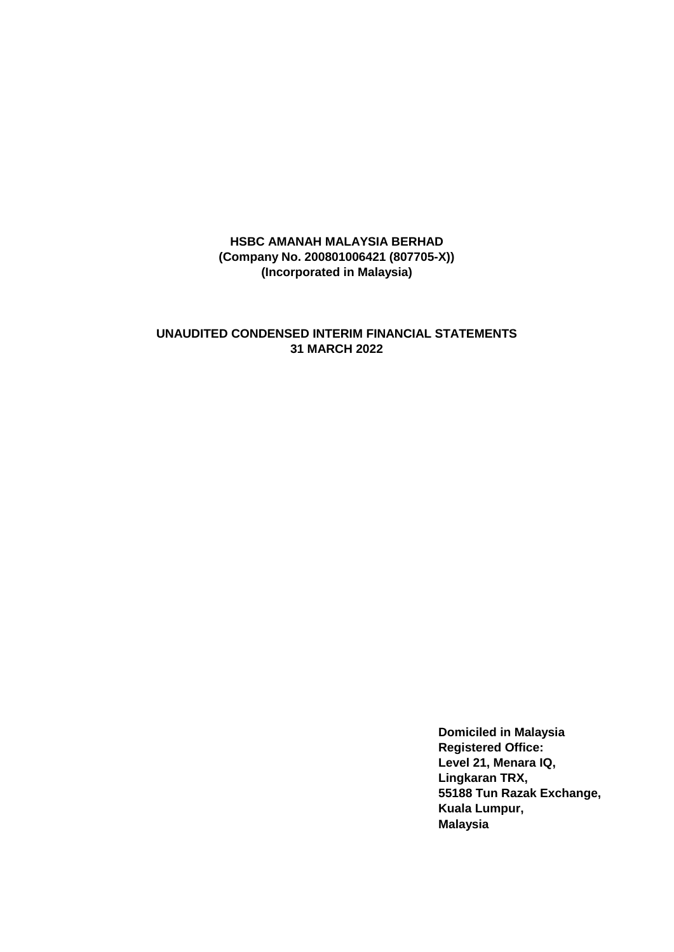## **UNAUDITED CONDENSED INTERIM FINANCIAL STATEMENTS 31 MARCH 2022**

**Domiciled in Malaysia Registered Office: Level 21, Menara IQ, Lingkaran TRX, 55188 Tun Razak Exchange, Kuala Lumpur, Malaysia**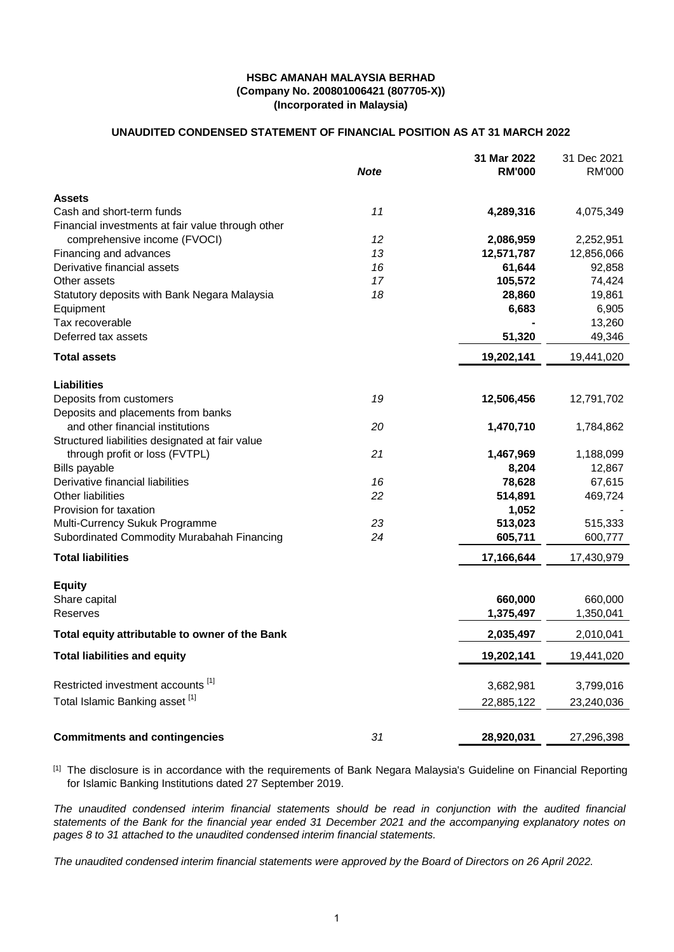### **UNAUDITED CONDENSED STATEMENT OF FINANCIAL POSITION AS AT 31 MARCH 2022**

|                                                   | <b>Note</b> | 31 Mar 2022<br><b>RM'000</b> | 31 Dec 2021<br><b>RM'000</b> |
|---------------------------------------------------|-------------|------------------------------|------------------------------|
| Assets                                            |             |                              |                              |
| Cash and short-term funds                         | 11          | 4,289,316                    | 4,075,349                    |
| Financial investments at fair value through other |             |                              |                              |
| comprehensive income (FVOCI)                      | 12          | 2,086,959                    | 2,252,951                    |
| Financing and advances                            | 13          | 12,571,787                   | 12,856,066                   |
| Derivative financial assets                       | 16          | 61,644                       | 92,858                       |
| Other assets                                      | 17          | 105,572                      | 74,424                       |
| Statutory deposits with Bank Negara Malaysia      | 18          | 28,860                       | 19,861                       |
| Equipment                                         |             | 6,683                        | 6,905                        |
| Tax recoverable                                   |             |                              | 13,260                       |
| Deferred tax assets                               |             | 51,320                       | 49,346                       |
| <b>Total assets</b>                               |             | 19,202,141                   | 19,441,020                   |
| <b>Liabilities</b>                                |             |                              |                              |
| Deposits from customers                           | 19          | 12,506,456                   | 12,791,702                   |
| Deposits and placements from banks                |             |                              |                              |
| and other financial institutions                  | 20          | 1,470,710                    | 1,784,862                    |
| Structured liabilities designated at fair value   |             |                              |                              |
| through profit or loss (FVTPL)                    | 21          | 1,467,969                    | 1,188,099                    |
| <b>Bills payable</b>                              |             | 8,204                        | 12,867                       |
| Derivative financial liabilities                  | 16          | 78,628                       | 67,615                       |
| Other liabilities                                 | 22          | 514,891                      | 469,724                      |
| Provision for taxation                            |             | 1,052                        |                              |
| Multi-Currency Sukuk Programme                    | 23          | 513,023                      | 515,333                      |
| Subordinated Commodity Murabahah Financing        | 24          | 605,711                      | 600,777                      |
| <b>Total liabilities</b>                          |             | 17,166,644                   | 17,430,979                   |
| <b>Equity</b>                                     |             |                              |                              |
| Share capital                                     |             | 660,000                      | 660,000                      |
| Reserves                                          |             | 1,375,497                    | 1,350,041                    |
| Total equity attributable to owner of the Bank    |             | 2,035,497                    | 2,010,041                    |
| <b>Total liabilities and equity</b>               |             | 19,202,141                   | 19,441,020                   |
| Restricted investment accounts [1]                |             | 3,682,981                    | 3,799,016                    |
| Total Islamic Banking asset [1]                   |             | 22,885,122                   | 23,240,036                   |
|                                                   |             |                              |                              |
| <b>Commitments and contingencies</b>              | 31          | 28,920,031                   | 27,296,398                   |

<sup>[1]</sup> The disclosure is in accordance with the requirements of Bank Negara Malaysia's Guideline on Financial Reporting for Islamic Banking Institutions dated 27 September 2019.

*The unaudited condensed interim financial statements should be read in conjunction with the audited financial statements of the Bank for the financial year ended 31 December 2021 and the accompanying explanatory notes on pages 8 to 31 attached to the unaudited condensed interim financial statements.*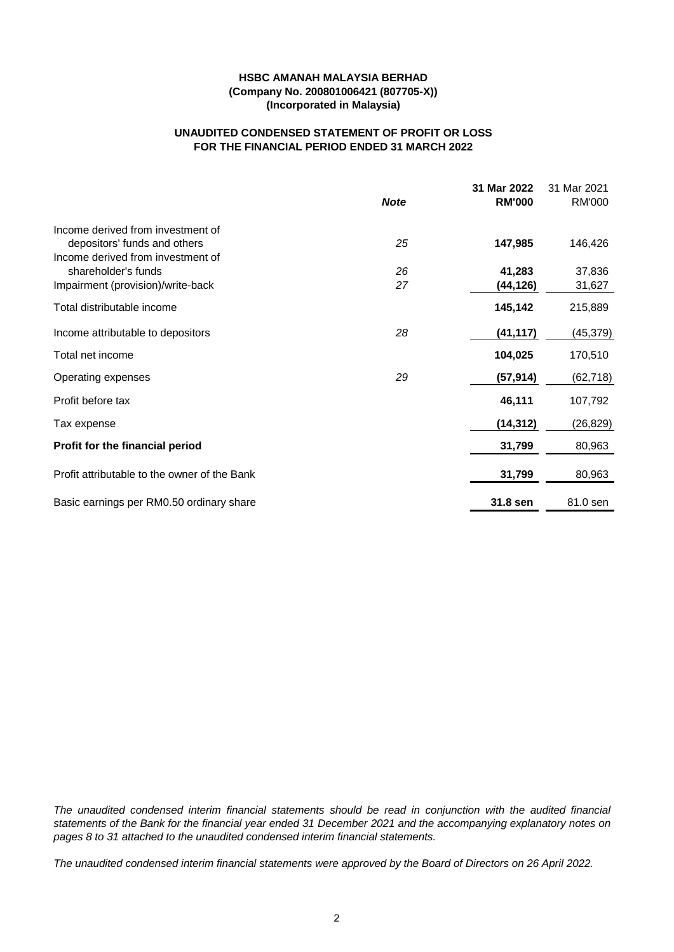## **UNAUDITED CONDENSED STATEMENT OF PROFIT OR LOSS FOR THE FINANCIAL PERIOD ENDED 31 MARCH 2022**

|                                              |             | 31 Mar 2022   | 31 Mar 2021   |
|----------------------------------------------|-------------|---------------|---------------|
|                                              | <b>Note</b> | <b>RM'000</b> | <b>RM'000</b> |
| Income derived from investment of            |             |               |               |
| depositors' funds and others                 | 25          | 147,985       | 146,426       |
| Income derived from investment of            |             |               |               |
| shareholder's funds                          | 26          | 41,283        | 37,836        |
| Impairment (provision)/write-back            | 27          | (44,126)      | 31,627        |
| Total distributable income                   |             | 145,142       | 215,889       |
| Income attributable to depositors            | 28          | (41, 117)     | (45, 379)     |
| Total net income                             |             | 104,025       | 170,510       |
| Operating expenses                           | 29          | (57, 914)     | (62, 718)     |
| Profit before tax                            |             | 46,111        | 107,792       |
| Tax expense                                  |             | (14, 312)     | (26, 829)     |
| Profit for the financial period              |             | 31,799        | 80,963        |
| Profit attributable to the owner of the Bank |             | 31,799        | 80,963        |
|                                              |             |               |               |
| Basic earnings per RM0.50 ordinary share     |             | 31.8 sen      | 81.0 sen      |

*The unaudited condensed interim financial statements should be read in conjunction with the audited financial statements of the Bank for the financial year ended 31 December 2021 and the accompanying explanatory notes on pages 8 to 31 attached to the unaudited condensed interim financial statements.*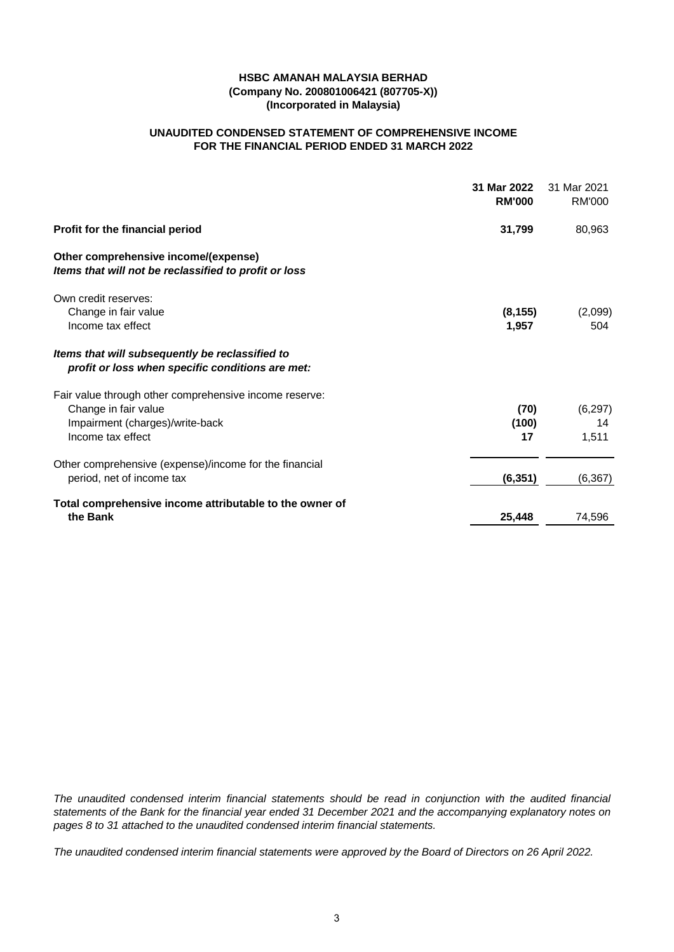## **UNAUDITED CONDENSED STATEMENT OF COMPREHENSIVE INCOME FOR THE FINANCIAL PERIOD ENDED 31 MARCH 2022**

|                                                                                                     | 31 Mar 2022<br><b>RM'000</b> | 31 Mar 2021<br>RM'000 |
|-----------------------------------------------------------------------------------------------------|------------------------------|-----------------------|
| Profit for the financial period                                                                     | 31,799                       | 80,963                |
| Other comprehensive income/(expense)<br>Items that will not be reclassified to profit or loss       |                              |                       |
| Own credit reserves:                                                                                |                              |                       |
| Change in fair value<br>Income tax effect                                                           | (8, 155)<br>1,957            | (2,099)<br>504        |
| Items that will subsequently be reclassified to<br>profit or loss when specific conditions are met: |                              |                       |
| Fair value through other comprehensive income reserve:                                              |                              |                       |
| Change in fair value                                                                                | (70)                         | (6, 297)              |
| Impairment (charges)/write-back<br>Income tax effect                                                | (100)<br>17                  | 14<br>1,511           |
| Other comprehensive (expense)/income for the financial                                              |                              |                       |
| period, net of income tax                                                                           | (6, 351)                     | (6, 367)              |
| Total comprehensive income attributable to the owner of                                             |                              |                       |
| the Bank                                                                                            | 25,448                       | 74,596                |

*The unaudited condensed interim financial statements should be read in conjunction with the audited financial statements of the Bank for the financial year ended 31 December 2021 and the accompanying explanatory notes on pages 8 to 31 attached to the unaudited condensed interim financial statements.*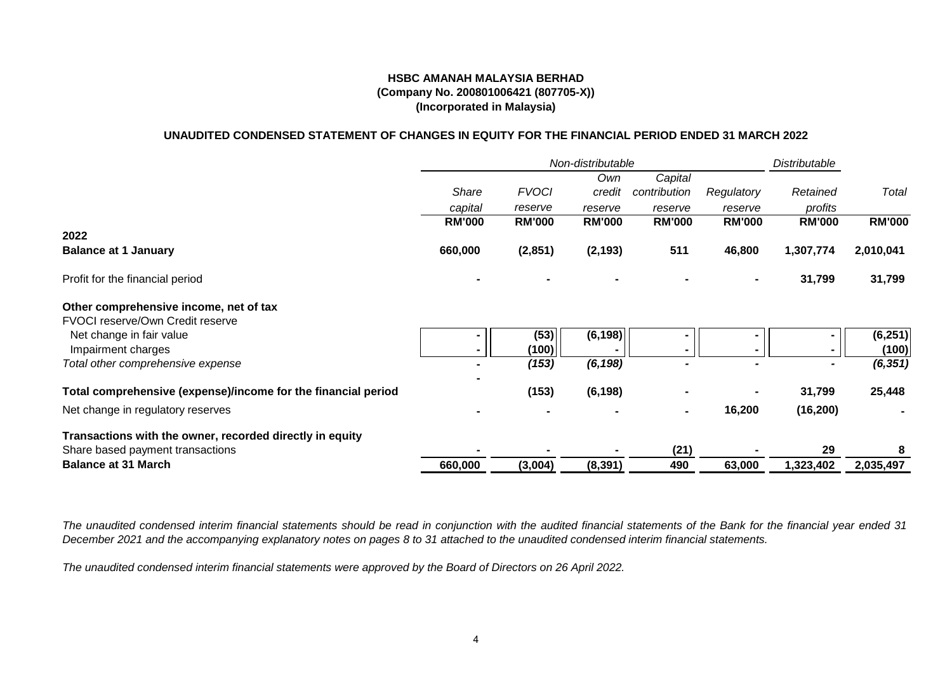### **UNAUDITED CONDENSED STATEMENT OF CHANGES IN EQUITY FOR THE FINANCIAL PERIOD ENDED 31 MARCH 2022**

|                                                               | Non-distributable |               |               |               |                | Distributable |               |
|---------------------------------------------------------------|-------------------|---------------|---------------|---------------|----------------|---------------|---------------|
|                                                               |                   |               | Own           | Capital       |                |               |               |
|                                                               | <b>Share</b>      | <b>FVOCI</b>  | credit        | contribution  | Regulatory     | Retained      | Total         |
|                                                               | capital           | reserve       | reserve       | reserve       | reserve        | profits       |               |
|                                                               | <b>RM'000</b>     | <b>RM'000</b> | <b>RM'000</b> | <b>RM'000</b> | <b>RM'000</b>  | <b>RM'000</b> | <b>RM'000</b> |
| 2022                                                          |                   |               |               |               |                |               |               |
| <b>Balance at 1 January</b>                                   | 660,000           | (2,851)       | (2, 193)      | 511           | 46,800         | 1,307,774     | 2,010,041     |
| Profit for the financial period                               |                   |               |               |               |                | 31,799        | 31,799        |
| Other comprehensive income, net of tax                        |                   |               |               |               |                |               |               |
| FVOCI reserve/Own Credit reserve                              |                   |               |               |               |                |               |               |
| Net change in fair value                                      |                   | (53)          | (6, 198)      |               | $\blacksquare$ |               | (6, 251)      |
| Impairment charges                                            |                   | (100)         |               |               |                |               | (100)         |
| Total other comprehensive expense                             |                   | (153)         | (6, 198)      |               |                |               | (6, 351)      |
| Total comprehensive (expense)/income for the financial period |                   | (153)         | (6, 198)      |               |                | 31,799        | 25,448        |
| Net change in regulatory reserves                             |                   |               |               |               | 16,200         | (16, 200)     |               |
| Transactions with the owner, recorded directly in equity      |                   |               |               |               |                |               |               |
| Share based payment transactions                              |                   |               |               | (21)          |                | 29            | 8             |
| <b>Balance at 31 March</b>                                    | 660,000           | (3,004)       | (8, 391)      | 490           | 63,000         | 1,323,402     | 2,035,497     |

*The unaudited condensed interim financial statements should be read in conjunction with the audited financial statements of the Bank for the financial year ended 31 December 2021 and the accompanying explanatory notes on pages 8 to 31 attached to the unaudited condensed interim financial statements.*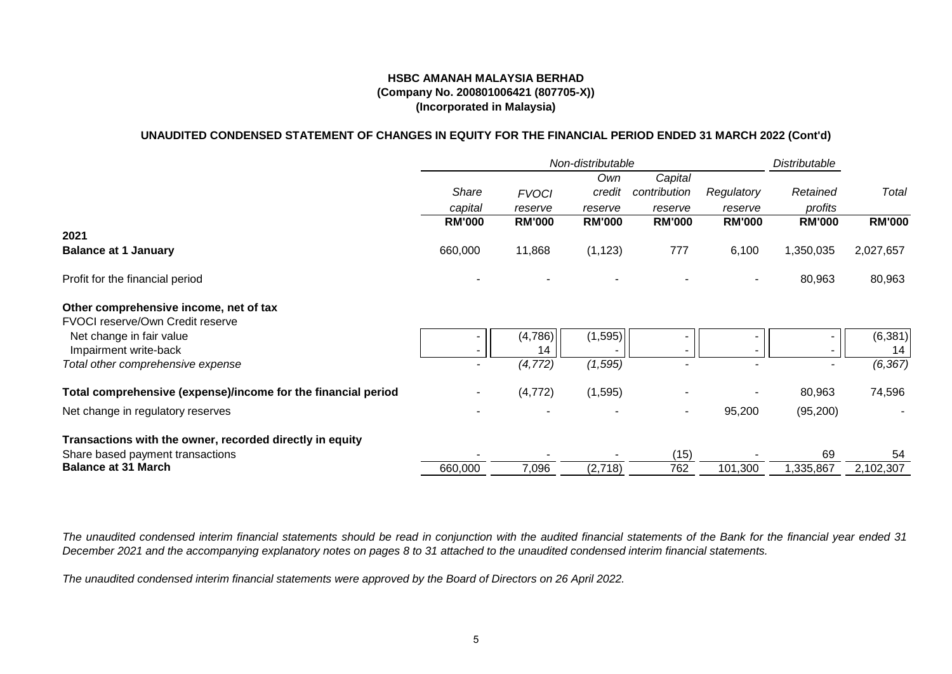### **(Company No. 200801006421 (807705-X)) (Incorporated in Malaysia) HSBC AMANAH MALAYSIA BERHAD**

## **UNAUDITED CONDENSED STATEMENT OF CHANGES IN EQUITY FOR THE FINANCIAL PERIOD ENDED 31 MARCH 2022 (Cont'd)**

|                                                               | Non-distributable |               |               |               |               | <b>Distributable</b>     |               |
|---------------------------------------------------------------|-------------------|---------------|---------------|---------------|---------------|--------------------------|---------------|
|                                                               |                   |               | Own           | Capital       |               |                          |               |
|                                                               | Share             | <b>FVOCI</b>  | credit        | contribution  | Regulatory    | Retained                 | Total         |
|                                                               | capital           | reserve       | reserve       | reserve       | reserve       | profits                  |               |
|                                                               | <b>RM'000</b>     | <b>RM'000</b> | <b>RM'000</b> | <b>RM'000</b> | <b>RM'000</b> | <b>RM'000</b>            | <b>RM'000</b> |
| 2021                                                          |                   |               |               |               |               |                          |               |
| <b>Balance at 1 January</b>                                   | 660,000           | 11,868        | (1, 123)      | 777           | 6,100         | 1,350,035                | 2,027,657     |
| Profit for the financial period                               |                   |               |               |               |               | 80,963                   | 80,963        |
| Other comprehensive income, net of tax                        |                   |               |               |               |               |                          |               |
| FVOCI reserve/Own Credit reserve                              |                   |               |               |               |               |                          |               |
| Net change in fair value                                      |                   | (4,786)       | (1, 595)      |               |               |                          | (6, 381)      |
| Impairment write-back                                         |                   | 14            |               |               |               |                          | 14            |
| Total other comprehensive expense                             |                   | (4, 772)      | (1, 595)      |               |               | $\overline{\phantom{0}}$ | (6, 367)      |
| Total comprehensive (expense)/income for the financial period |                   | (4, 772)      | (1,595)       |               |               | 80,963                   | 74,596        |
| Net change in regulatory reserves                             |                   |               |               |               | 95,200        | (95, 200)                |               |
| Transactions with the owner, recorded directly in equity      |                   |               |               |               |               |                          |               |
| Share based payment transactions                              |                   |               |               | (15)          |               | 69                       | 54            |
| <b>Balance at 31 March</b>                                    | 660,000           | 7,096         | (2,718)       | 762           | 101,300       | 1,335,867                | 2,102,307     |

The unaudited condensed interim financial statements should be read in conjunction with the audited financial statements of the Bank for the financial year ended 31 *December 2021 and the accompanying explanatory notes on pages 8 to 31 attached to the unaudited condensed interim financial statements.*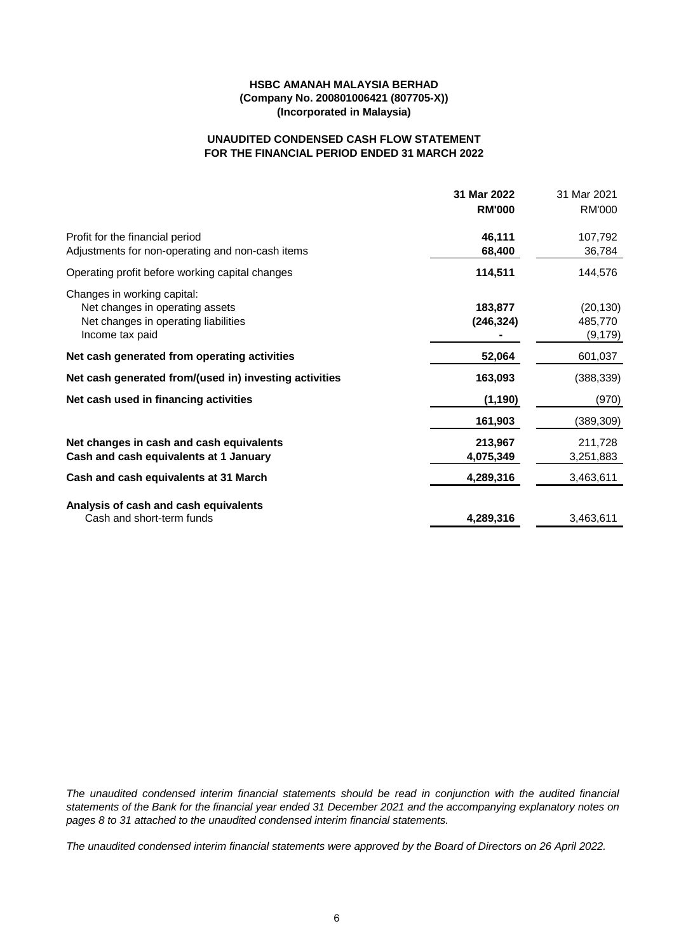## **FOR THE FINANCIAL PERIOD ENDED 31 MARCH 2022 UNAUDITED CONDENSED CASH FLOW STATEMENT**

|                                                                | 31 Mar 2022   | 31 Mar 2021   |
|----------------------------------------------------------------|---------------|---------------|
|                                                                | <b>RM'000</b> | <b>RM'000</b> |
| Profit for the financial period                                | 46,111        | 107,792       |
| Adjustments for non-operating and non-cash items               | 68,400        | 36,784        |
| Operating profit before working capital changes                | 114,511       | 144,576       |
| Changes in working capital:<br>Net changes in operating assets | 183,877       | (20, 130)     |
| Net changes in operating liabilities                           | (246, 324)    | 485,770       |
| Income tax paid                                                |               | (9,179)       |
| Net cash generated from operating activities                   | 52,064        | 601,037       |
| Net cash generated from/(used in) investing activities         | 163,093       | (388, 339)    |
| Net cash used in financing activities                          | (1, 190)      | (970)         |
|                                                                | 161,903       | (389,309)     |
| Net changes in cash and cash equivalents                       | 213,967       | 211,728       |
| Cash and cash equivalents at 1 January                         | 4,075,349     | 3,251,883     |
| Cash and cash equivalents at 31 March                          | 4,289,316     | 3,463,611     |
| Analysis of cash and cash equivalents                          |               |               |
| Cash and short-term funds                                      | 4,289,316     | 3,463,611     |

*The unaudited condensed interim financial statements should be read in conjunction with the audited financial statements of the Bank for the financial year ended 31 December 2021 and the accompanying explanatory notes on pages 8 to 31 attached to the unaudited condensed interim financial statements.*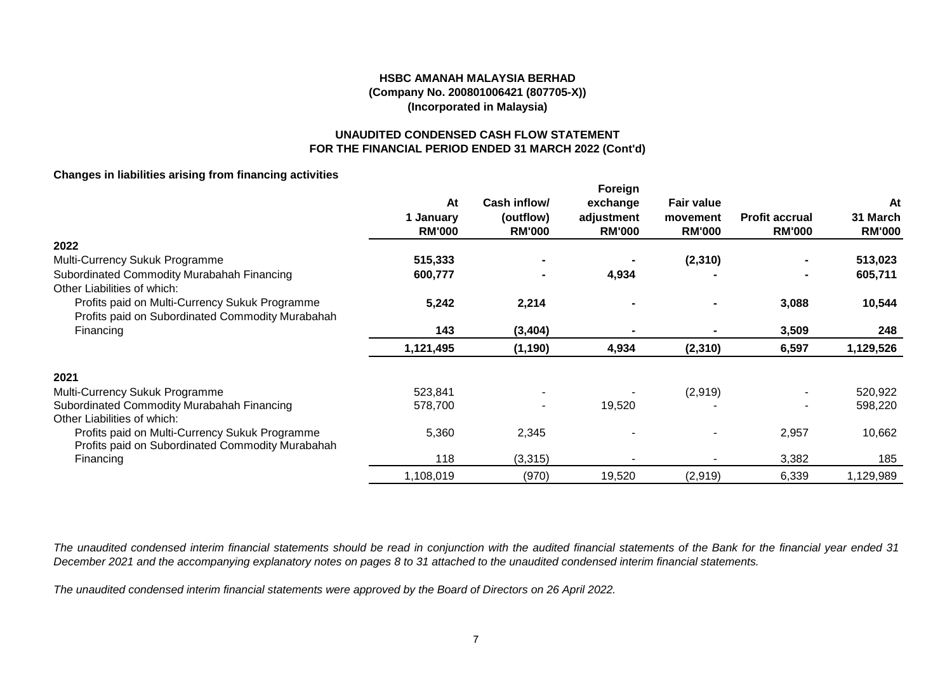## **UNAUDITED CONDENSED CASH FLOW STATEMENT FOR THE FINANCIAL PERIOD ENDED 31 MARCH 2022 (Cont'd)**

## **Changes in liabilities arising from financing activities**

|                                                  |               |               | Foreign       |                   |                       |               |
|--------------------------------------------------|---------------|---------------|---------------|-------------------|-----------------------|---------------|
|                                                  | At            | Cash inflow/  | exchange      | <b>Fair value</b> |                       | At            |
|                                                  | 1 January     | (outflow)     | adjustment    | movement          | <b>Profit accrual</b> | 31 March      |
|                                                  | <b>RM'000</b> | <b>RM'000</b> | <b>RM'000</b> | <b>RM'000</b>     | <b>RM'000</b>         | <b>RM'000</b> |
| 2022                                             |               |               |               |                   |                       |               |
| Multi-Currency Sukuk Programme                   | 515,333       |               |               | (2,310)           |                       | 513,023       |
| Subordinated Commodity Murabahah Financing       | 600,777       |               | 4,934         |                   | $\blacksquare$        | 605,711       |
| Other Liabilities of which:                      |               |               |               |                   |                       |               |
| Profits paid on Multi-Currency Sukuk Programme   | 5,242         | 2,214         |               |                   | 3,088                 | 10,544        |
| Profits paid on Subordinated Commodity Murabahah |               |               |               |                   |                       |               |
| Financing                                        | 143           | (3, 404)      |               |                   | 3,509                 | 248           |
|                                                  | 1,121,495     | (1, 190)      | 4,934         | (2, 310)          | 6,597                 | 1,129,526     |
| 2021                                             |               |               |               |                   |                       |               |
| Multi-Currency Sukuk Programme                   | 523,841       |               |               | (2,919)           |                       | 520,922       |
| Subordinated Commodity Murabahah Financing       | 578,700       |               | 19,520        |                   |                       | 598,220       |
| Other Liabilities of which:                      |               |               |               |                   |                       |               |
| Profits paid on Multi-Currency Sukuk Programme   | 5,360         | 2,345         |               |                   | 2,957                 | 10,662        |
| Profits paid on Subordinated Commodity Murabahah |               |               |               |                   |                       |               |
| Financing                                        | 118           | (3,315)       |               |                   | 3,382                 | 185           |
|                                                  | 1,108,019     | (970)         | 19,520        | (2,919)           | 6,339                 | 1,129,989     |

*The unaudited condensed interim financial statements should be read in conjunction with the audited financial statements of the Bank for the financial year ended 31 December 2021 and the accompanying explanatory notes on pages 8 to 31 attached to the unaudited condensed interim financial statements.*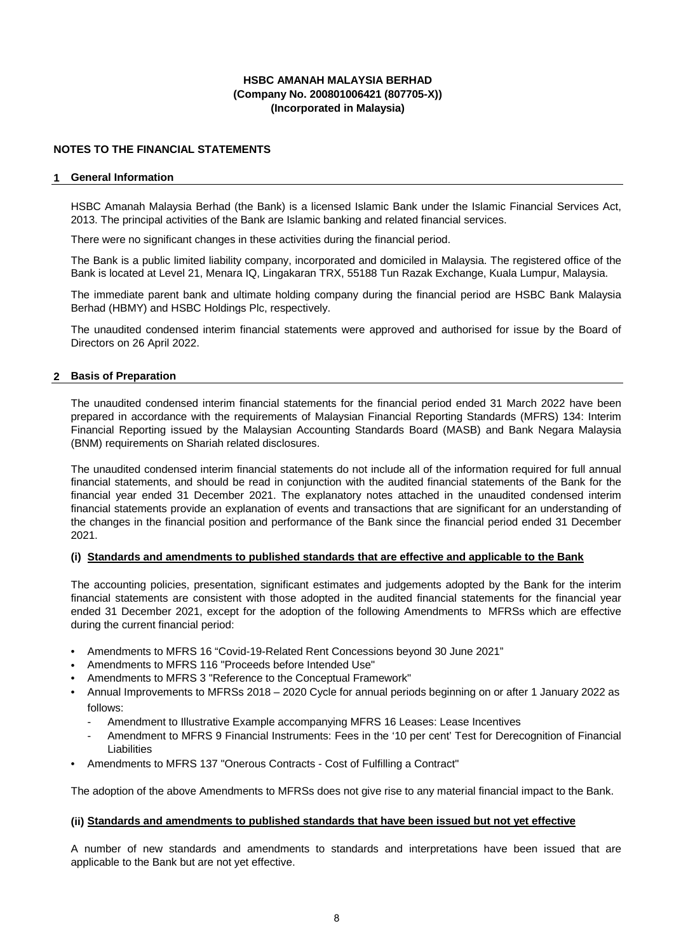### **NOTES TO THE FINANCIAL STATEMENTS**

#### **1 General Information**

HSBC Amanah Malaysia Berhad (the Bank) is a licensed Islamic Bank under the Islamic Financial Services Act, 2013. The principal activities of the Bank are Islamic banking and related financial services.

There were no significant changes in these activities during the financial period.

The Bank is a public limited liability company, incorporated and domiciled in Malaysia. The registered office of the Bank is located at Level 21, Menara IQ, Lingakaran TRX, 55188 Tun Razak Exchange, Kuala Lumpur, Malaysia.

The immediate parent bank and ultimate holding company during the financial period are HSBC Bank Malaysia Berhad (HBMY) and HSBC Holdings Plc, respectively.

The unaudited condensed interim financial statements were approved and authorised for issue by the Board of Directors on 26 April 2022.

#### **2 Basis of Preparation**

The unaudited condensed interim financial statements for the financial period ended 31 March 2022 have been prepared in accordance with the requirements of Malaysian Financial Reporting Standards (MFRS) 134: Interim Financial Reporting issued by the Malaysian Accounting Standards Board (MASB) and Bank Negara Malaysia (BNM) requirements on Shariah related disclosures.

The unaudited condensed interim financial statements do not include all of the information required for full annual financial statements, and should be read in conjunction with the audited financial statements of the Bank for the financial year ended 31 December 2021. The explanatory notes attached in the unaudited condensed interim financial statements provide an explanation of events and transactions that are significant for an understanding of the changes in the financial position and performance of the Bank since the financial period ended 31 December 2021.

#### **(i) Standards and amendments to published standards that are effective and applicable to the Bank**

The accounting policies, presentation, significant estimates and judgements adopted by the Bank for the interim financial statements are consistent with those adopted in the audited financial statements for the financial year ended 31 December 2021, except for the adoption of the following Amendments to MFRSs which are effective during the current financial period:

- Amendments to MFRS 16 "Covid-19-Related Rent Concessions beyond 30 June 2021"
- Amendments to MFRS 116 "Proceeds before Intended Use"
- Amendments to MFRS 3 "Reference to the Conceptual Framework"
- Annual Improvements to MFRSs 2018 – 2020 Cycle for annual periods beginning on or after 1 January 2022 as follows:
	- Amendment to Illustrative Example accompanying MFRS 16 Leases: Lease Incentives
	- Amendment to MFRS 9 Financial Instruments: Fees in the '10 per cent' Test for Derecognition of Financial Liabilities
- Amendments to MFRS 137 "Onerous Contracts Cost of Fulfilling a Contract"

The adoption of the above Amendments to MFRSs does not give rise to any material financial impact to the Bank.

#### **(ii) Standards and amendments to published standards that have been issued but not yet effective**

A number of new standards and amendments to standards and interpretations have been issued that are applicable to the Bank but are not yet effective.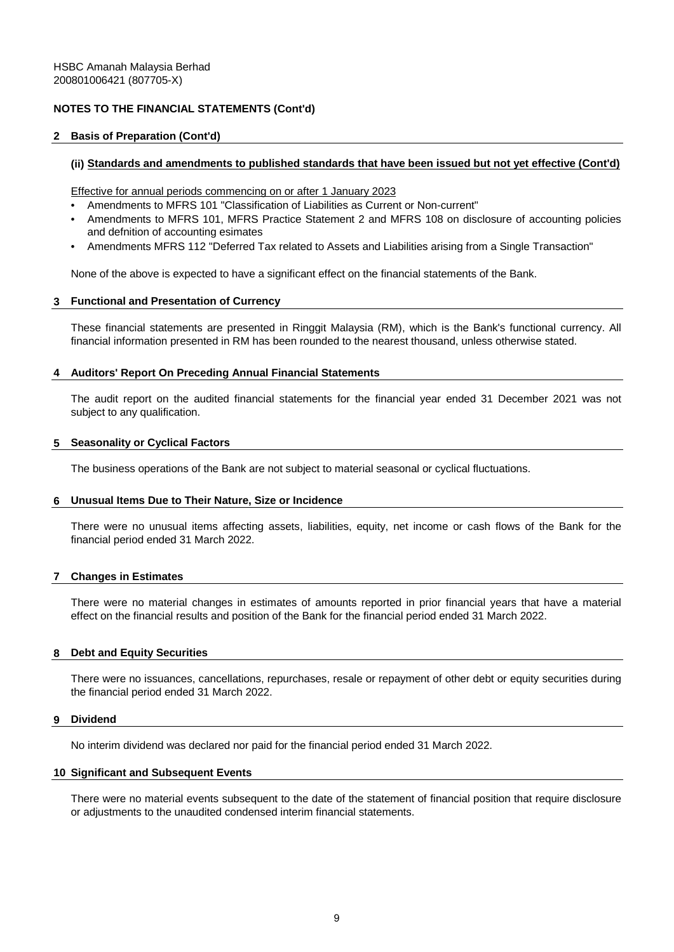#### **2 Basis of Preparation (Cont'd)**

#### **(ii) Standards and amendments to published standards that have been issued but not yet effective (Cont'd)**

Effective for annual periods commencing on or after 1 January 2023

- Amendments to MFRS 101 "Classification of Liabilities as Current or Non-current"
- Amendments to MFRS 101, MFRS Practice Statement 2 and MFRS 108 on disclosure of accounting policies and defnition of accounting esimates
- Amendments MFRS 112 "Deferred Tax related to Assets and Liabilities arising from a Single Transaction"

None of the above is expected to have a significant effect on the financial statements of the Bank.

#### **3 Functional and Presentation of Currency**

These financial statements are presented in Ringgit Malaysia (RM), which is the Bank's functional currency. All financial information presented in RM has been rounded to the nearest thousand, unless otherwise stated.

#### **4 Auditors' Report On Preceding Annual Financial Statements**

The audit report on the audited financial statements for the financial year ended 31 December 2021 was not subject to any qualification.

#### **5 Seasonality or Cyclical Factors**

The business operations of the Bank are not subject to material seasonal or cyclical fluctuations.

#### **6 Unusual Items Due to Their Nature, Size or Incidence**

There were no unusual items affecting assets, liabilities, equity, net income or cash flows of the Bank for the financial period ended 31 March 2022.

#### **7 Changes in Estimates**

There were no material changes in estimates of amounts reported in prior financial years that have a material effect on the financial results and position of the Bank for the financial period ended 31 March 2022.

#### **8 Debt and Equity Securities**

There were no issuances, cancellations, repurchases, resale or repayment of other debt or equity securities during the financial period ended 31 March 2022.

#### **9 Dividend**

No interim dividend was declared nor paid for the financial period ended 31 March 2022.

#### **10 Significant and Subsequent Events**

There were no material events subsequent to the date of the statement of financial position that require disclosure or adjustments to the unaudited condensed interim financial statements.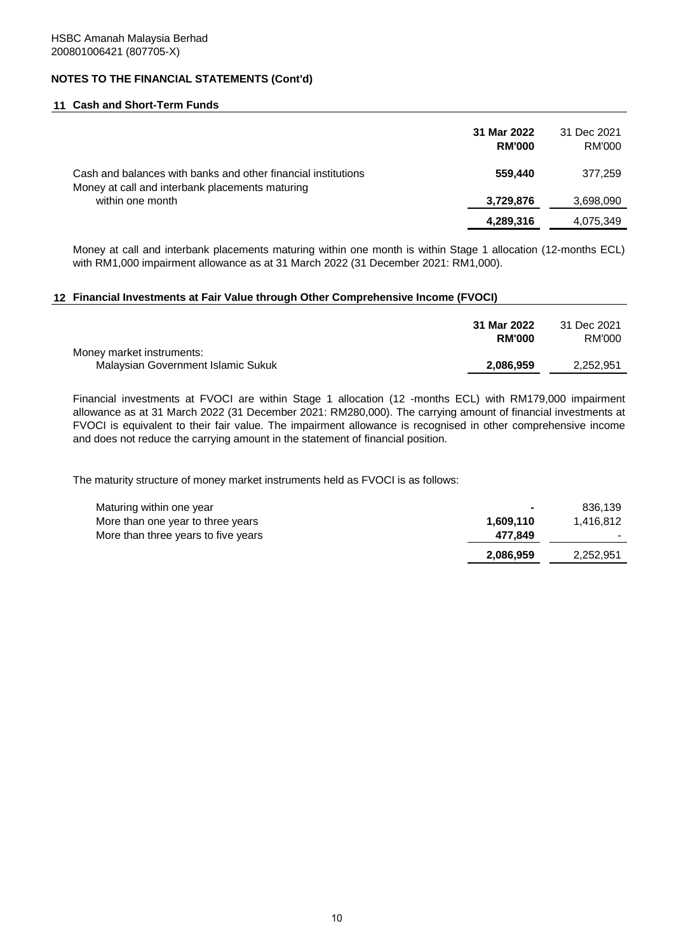#### **11 Cash and Short-Term Funds**

|                                                                                                                  | 31 Mar 2022<br><b>RM'000</b> | 31 Dec 2021<br><b>RM'000</b> |
|------------------------------------------------------------------------------------------------------------------|------------------------------|------------------------------|
| Cash and balances with banks and other financial institutions<br>Money at call and interbank placements maturing | 559,440                      | 377,259                      |
| within one month                                                                                                 | 3,729,876                    | 3,698,090                    |
|                                                                                                                  | 4,289,316                    | 4,075,349                    |

Money at call and interbank placements maturing within one month is within Stage 1 allocation (12-months ECL) with RM1,000 impairment allowance as at 31 March 2022 (31 December 2021: RM1,000).

#### **12 Financial Investments at Fair Value through Other Comprehensive Income (FVOCI)**

| Money market instruments:          | 31 Mar 2022<br><b>RM'000</b> | 31 Dec 2021<br>RM'000 |
|------------------------------------|------------------------------|-----------------------|
| Malaysian Government Islamic Sukuk | 2.086.959                    | 2,252,951             |

Financial investments at FVOCI are within Stage 1 allocation (12 -months ECL) with RM179,000 impairment allowance as at 31 March 2022 (31 December 2021: RM280,000). The carrying amount of financial investments at FVOCI is equivalent to their fair value. The impairment allowance is recognised in other comprehensive income and does not reduce the carrying amount in the statement of financial position.

The maturity structure of money market instruments held as FVOCI is as follows:

| Maturing within one year            | $\overline{\phantom{0}}$ | 836.139   |
|-------------------------------------|--------------------------|-----------|
| More than one year to three years   | 1.609.110                | 1.416.812 |
| More than three years to five years | 477.849                  |           |
|                                     | 2,086,959                | 2,252,951 |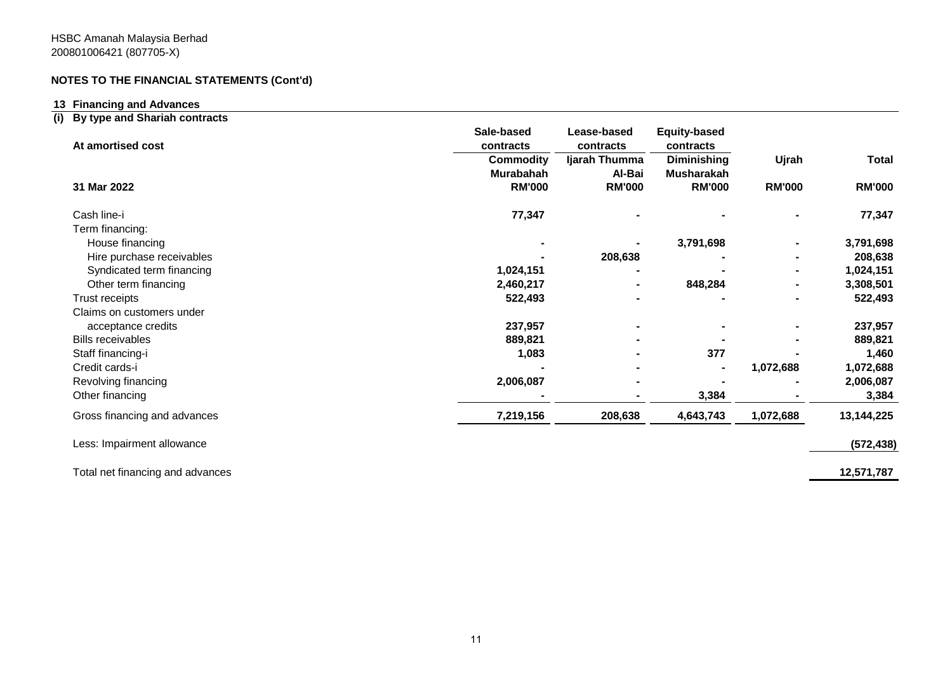## **13 Financing and Advances**

## **(i) By type and Shariah contracts**

| At amortised cost                | Sale-based<br>contracts | <b>Equity-based</b><br>Lease-based<br>contracts |                    |               |               |  |
|----------------------------------|-------------------------|-------------------------------------------------|--------------------|---------------|---------------|--|
|                                  | <b>Commodity</b>        | Ijarah Thumma                                   | <b>Diminishing</b> | Ujrah         | <b>Total</b>  |  |
|                                  | Murabahah               | Al-Bai                                          | <b>Musharakah</b>  |               |               |  |
| 31 Mar 2022                      | <b>RM'000</b>           | <b>RM'000</b>                                   | <b>RM'000</b>      | <b>RM'000</b> | <b>RM'000</b> |  |
| Cash line-i                      | 77,347                  |                                                 |                    |               | 77,347        |  |
| Term financing:                  |                         |                                                 |                    |               |               |  |
| House financing                  |                         |                                                 | 3,791,698          |               | 3,791,698     |  |
| Hire purchase receivables        |                         | 208,638                                         |                    |               | 208,638       |  |
| Syndicated term financing        | 1,024,151               |                                                 |                    |               | 1,024,151     |  |
| Other term financing             | 2,460,217               |                                                 | 848,284            |               | 3,308,501     |  |
| Trust receipts                   | 522,493                 |                                                 |                    |               | 522,493       |  |
| Claims on customers under        |                         |                                                 |                    |               |               |  |
| acceptance credits               | 237,957                 |                                                 |                    |               | 237,957       |  |
| <b>Bills receivables</b>         | 889,821                 |                                                 |                    |               | 889,821       |  |
| Staff financing-i                | 1,083                   |                                                 | 377                |               | 1,460         |  |
| Credit cards-i                   |                         |                                                 |                    | 1,072,688     | 1,072,688     |  |
| Revolving financing              | 2,006,087               |                                                 |                    |               | 2,006,087     |  |
| Other financing                  |                         |                                                 | 3,384              |               | 3,384         |  |
| Gross financing and advances     | 7,219,156               | 208,638                                         | 4,643,743          | 1,072,688     | 13,144,225    |  |
| Less: Impairment allowance       |                         |                                                 |                    |               | (572, 438)    |  |
| Total net financing and advances |                         |                                                 |                    |               | 12,571,787    |  |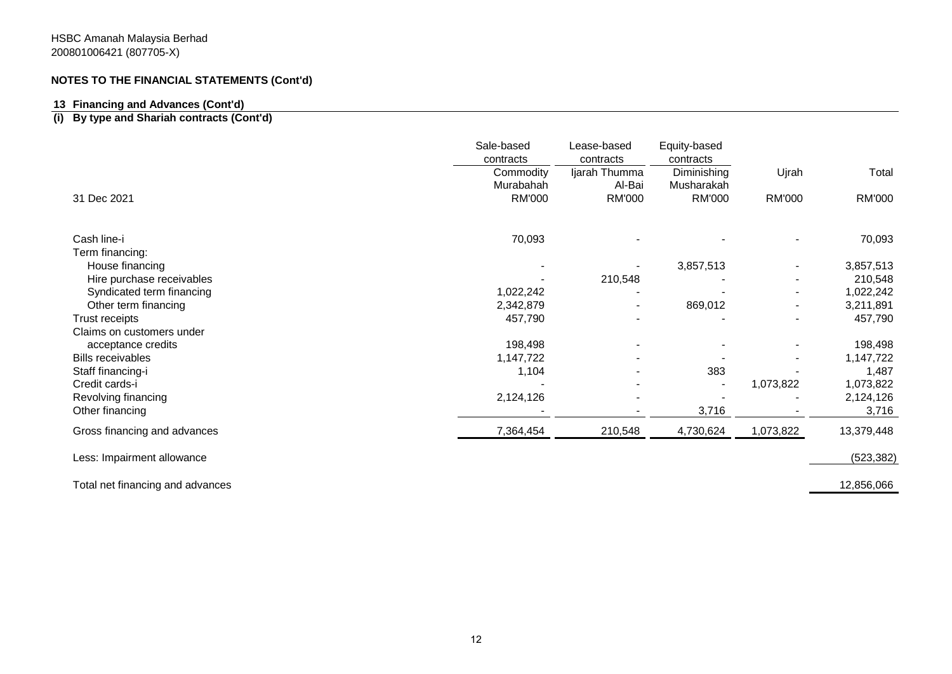## **13 Financing and Advances (Cont'd)**

## **(i) By type and Shariah contracts (Cont'd)**

|                                  | Sale-based<br>contracts | Lease-based<br>contracts | Equity-based<br>contracts |           |               |
|----------------------------------|-------------------------|--------------------------|---------------------------|-----------|---------------|
|                                  | Commodity<br>Murabahah  | Ijarah Thumma<br>Al-Bai  | Diminishing<br>Musharakah | Ujrah     | Total         |
| 31 Dec 2021                      | <b>RM'000</b>           | <b>RM'000</b>            | <b>RM'000</b>             | RM'000    | <b>RM'000</b> |
| Cash line-i                      | 70,093                  |                          |                           |           | 70,093        |
| Term financing:                  |                         |                          |                           |           |               |
| House financing                  |                         |                          | 3,857,513                 |           | 3,857,513     |
| Hire purchase receivables        |                         | 210,548                  |                           |           | 210,548       |
| Syndicated term financing        | 1,022,242               |                          |                           |           | 1,022,242     |
| Other term financing             | 2,342,879               | $\overline{\phantom{a}}$ | 869,012                   |           | 3,211,891     |
| Trust receipts                   | 457,790                 |                          |                           |           | 457,790       |
| Claims on customers under        |                         |                          |                           |           |               |
| acceptance credits               | 198,498                 |                          |                           |           | 198,498       |
| <b>Bills receivables</b>         | 1,147,722               |                          |                           |           | 1,147,722     |
| Staff financing-i                | 1,104                   |                          | 383                       |           | 1,487         |
| Credit cards-i                   |                         |                          |                           | 1,073,822 | 1,073,822     |
| Revolving financing              | 2,124,126               |                          |                           |           | 2,124,126     |
| Other financing                  |                         |                          | 3,716                     |           | 3,716         |
| Gross financing and advances     | 7,364,454               | 210,548                  | 4,730,624                 | 1,073,822 | 13,379,448    |
| Less: Impairment allowance       |                         |                          |                           |           | (523, 382)    |
| Total net financing and advances |                         |                          |                           |           | 12,856,066    |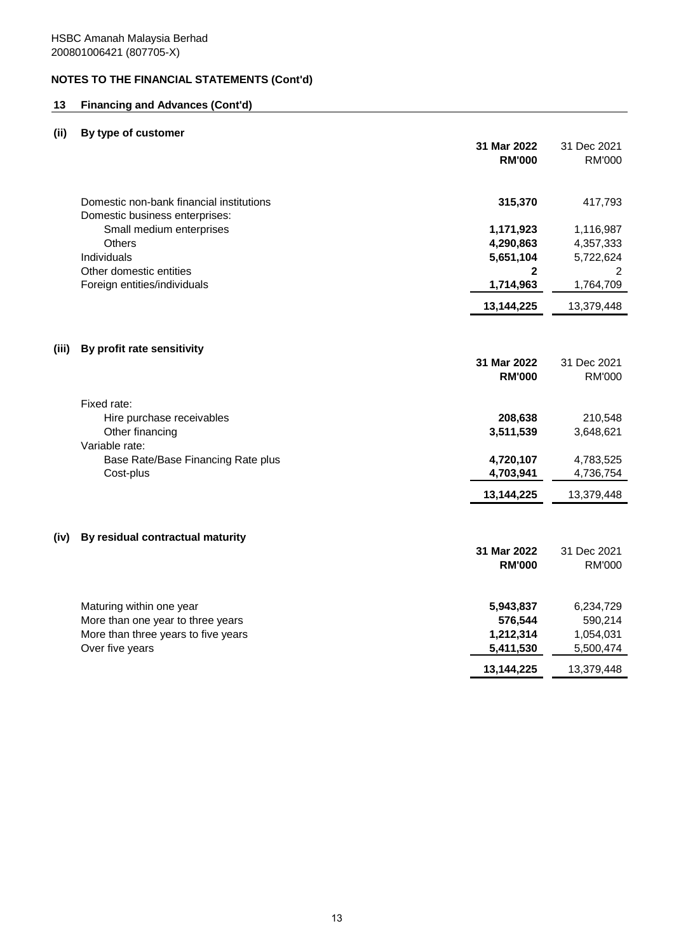## **13 Financing and Advances (Cont'd)**

# **(ii) By type of customer**

|       |                                                                                                                         | 31 Mar 2022<br><b>RM'000</b>                   | 31 Dec 2021<br><b>RM'000</b>                   |
|-------|-------------------------------------------------------------------------------------------------------------------------|------------------------------------------------|------------------------------------------------|
|       | Domestic non-bank financial institutions<br>Domestic business enterprises:                                              | 315,370                                        | 417,793                                        |
|       | Small medium enterprises                                                                                                | 1,171,923                                      | 1,116,987                                      |
|       | Others                                                                                                                  | 4,290,863                                      | 4,357,333                                      |
|       | Individuals                                                                                                             | 5,651,104                                      | 5,722,624                                      |
|       | Other domestic entities<br>Foreign entities/individuals                                                                 | $\mathbf{2}$<br>1,714,963                      | 2<br>1,764,709                                 |
|       |                                                                                                                         | 13,144,225                                     | 13,379,448                                     |
| (iii) | By profit rate sensitivity                                                                                              |                                                |                                                |
|       |                                                                                                                         | 31 Mar 2022<br><b>RM'000</b>                   | 31 Dec 2021<br><b>RM'000</b>                   |
|       | Fixed rate:<br>Hire purchase receivables<br>Other financing<br>Variable rate:                                           | 208,638<br>3,511,539                           | 210,548<br>3,648,621                           |
|       | Base Rate/Base Financing Rate plus<br>Cost-plus                                                                         | 4,720,107<br>4,703,941                         | 4,783,525<br>4,736,754                         |
|       |                                                                                                                         | 13,144,225                                     | 13,379,448                                     |
| (iv)  | By residual contractual maturity                                                                                        | 31 Mar 2022<br><b>RM'000</b>                   | 31 Dec 2021<br><b>RM'000</b>                   |
|       | Maturing within one year<br>More than one year to three years<br>More than three years to five years<br>Over five years | 5,943,837<br>576,544<br>1,212,314<br>5,411,530 | 6,234,729<br>590,214<br>1,054,031<br>5,500,474 |
|       |                                                                                                                         | 13,144,225                                     | 13,379,448                                     |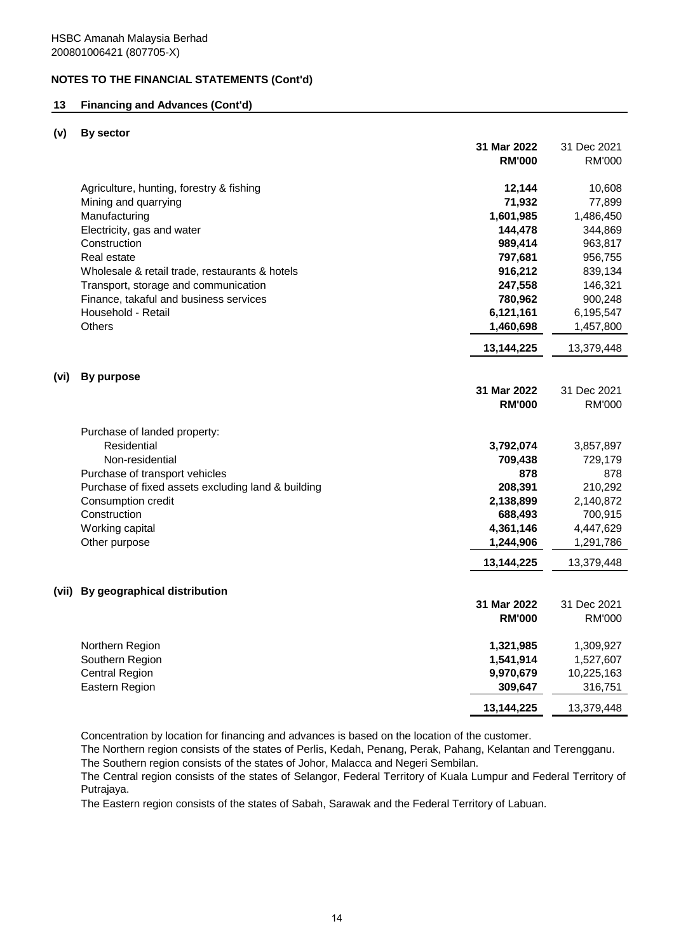## **13 Financing and Advances (Cont'd)**

#### **(v) By sector**

|      |                                                    | 31 Mar 2022   | 31 Dec 2021   |
|------|----------------------------------------------------|---------------|---------------|
|      |                                                    | <b>RM'000</b> | <b>RM'000</b> |
|      | Agriculture, hunting, forestry & fishing           | 12,144        | 10,608        |
|      | Mining and quarrying                               | 71,932        | 77,899        |
|      | Manufacturing                                      | 1,601,985     | 1,486,450     |
|      | Electricity, gas and water                         | 144,478       | 344,869       |
|      | Construction                                       | 989,414       | 963,817       |
|      | Real estate                                        | 797,681       | 956,755       |
|      | Wholesale & retail trade, restaurants & hotels     | 916,212       | 839,134       |
|      | Transport, storage and communication               | 247,558       | 146,321       |
|      | Finance, takaful and business services             | 780,962       | 900,248       |
|      | Household - Retail                                 | 6,121,161     | 6,195,547     |
|      | <b>Others</b>                                      | 1,460,698     | 1,457,800     |
|      |                                                    | 13,144,225    | 13,379,448    |
| (vi) | <b>By purpose</b>                                  |               |               |
|      |                                                    | 31 Mar 2022   | 31 Dec 2021   |
|      |                                                    | <b>RM'000</b> | <b>RM'000</b> |
|      |                                                    |               |               |
|      | Purchase of landed property:                       |               |               |
|      | Residential                                        | 3,792,074     | 3,857,897     |
|      | Non-residential                                    | 709,438       | 729,179       |
|      | Purchase of transport vehicles                     | 878           | 878           |
|      | Purchase of fixed assets excluding land & building | 208,391       | 210,292       |
|      | Consumption credit                                 | 2,138,899     | 2,140,872     |
|      | Construction                                       | 688,493       | 700,915       |
|      | Working capital                                    | 4,361,146     | 4,447,629     |
|      | Other purpose                                      | 1,244,906     | 1,291,786     |
|      |                                                    | 13,144,225    | 13,379,448    |
|      | (vii) By geographical distribution                 |               |               |
|      |                                                    | 31 Mar 2022   | 31 Dec 2021   |
|      |                                                    | <b>RM'000</b> | <b>RM'000</b> |
|      |                                                    |               |               |
|      | Northern Region                                    | 1,321,985     | 1,309,927     |
|      | Southern Region                                    | 1,541,914     | 1,527,607     |
|      | <b>Central Region</b>                              | 9,970,679     | 10,225,163    |
|      | Eastern Region                                     | 309,647       | 316,751       |
|      |                                                    | 13,144,225    | 13,379,448    |
|      |                                                    |               |               |

Concentration by location for financing and advances is based on the location of the customer.

The Southern region consists of the states of Johor, Malacca and Negeri Sembilan. The Northern region consists of the states of Perlis, Kedah, Penang, Perak, Pahang, Kelantan and Terengganu.

The Central region consists of the states of Selangor, Federal Territory of Kuala Lumpur and Federal Territory of Putrajaya.

The Eastern region consists of the states of Sabah, Sarawak and the Federal Territory of Labuan.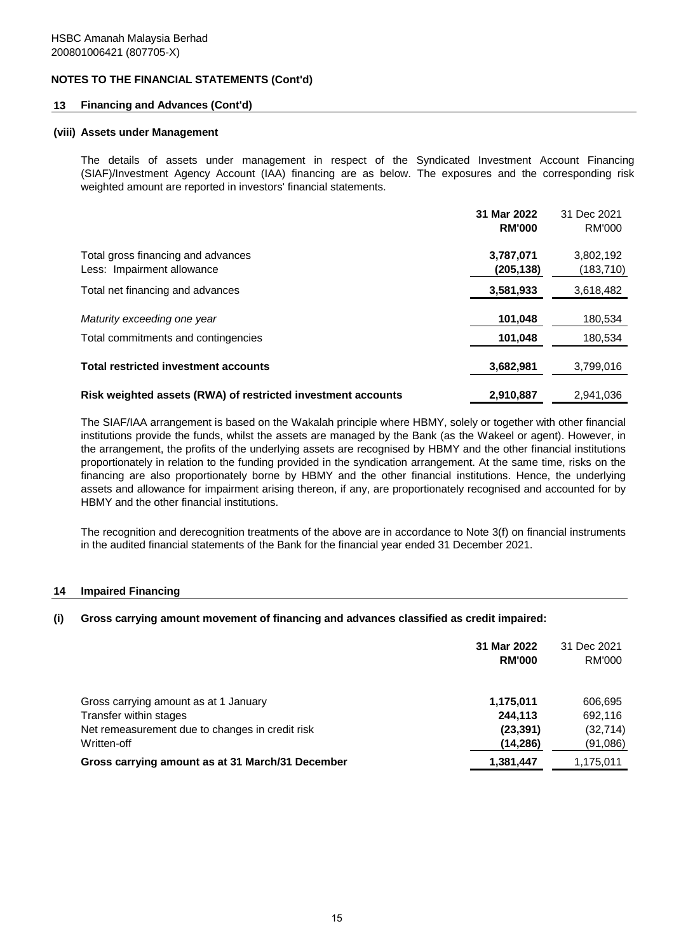### **13 Financing and Advances (Cont'd)**

#### **(viii) Assets under Management**

The details of assets under management in respect of the Syndicated Investment Account Financing (SIAF)/Investment Agency Account (IAA) financing are as below. The exposures and the corresponding risk weighted amount are reported in investors' financial statements.

|                                                                  | 31 Mar 2022<br><b>RM'000</b> | 31 Dec 2021<br>RM'000   |
|------------------------------------------------------------------|------------------------------|-------------------------|
| Total gross financing and advances<br>Less: Impairment allowance | 3,787,071<br>(205,138)       | 3,802,192<br>(183, 710) |
| Total net financing and advances                                 | 3,581,933                    | 3,618,482               |
| Maturity exceeding one year                                      | 101,048                      | 180,534                 |
| Total commitments and contingencies                              | 101,048                      | 180,534                 |
| <b>Total restricted investment accounts</b>                      | 3,682,981                    | 3,799,016               |
| Risk weighted assets (RWA) of restricted investment accounts     | 2,910,887                    | 2.941.036               |

The SIAF/IAA arrangement is based on the Wakalah principle where HBMY, solely or together with other financial institutions provide the funds, whilst the assets are managed by the Bank (as the Wakeel or agent). However, in the arrangement, the profits of the underlying assets are recognised by HBMY and the other financial institutions proportionately in relation to the funding provided in the syndication arrangement. At the same time, risks on the financing are also proportionately borne by HBMY and the other financial institutions. Hence, the underlying assets and allowance for impairment arising thereon, if any, are proportionately recognised and accounted for by HBMY and the other financial institutions.

The recognition and derecognition treatments of the above are in accordance to Note 3(f) on financial instruments in the audited financial statements of the Bank for the financial year ended 31 December 2021.

#### **14 Impaired Financing**

#### **(i) Gross carrying amount movement of financing and advances classified as credit impaired:**

|                                                  | 31 Mar 2022<br><b>RM'000</b> | 31 Dec 2021<br>RM'000 |
|--------------------------------------------------|------------------------------|-----------------------|
| Gross carrying amount as at 1 January            | 1,175,011                    | 606,695               |
| Transfer within stages                           | 244.113                      | 692,116               |
| Net remeasurement due to changes in credit risk  | (23, 391)                    | (32, 714)             |
| Written-off                                      | (14, 286)                    | (91,086)              |
| Gross carrying amount as at 31 March/31 December | 1,381,447                    | 1,175,011             |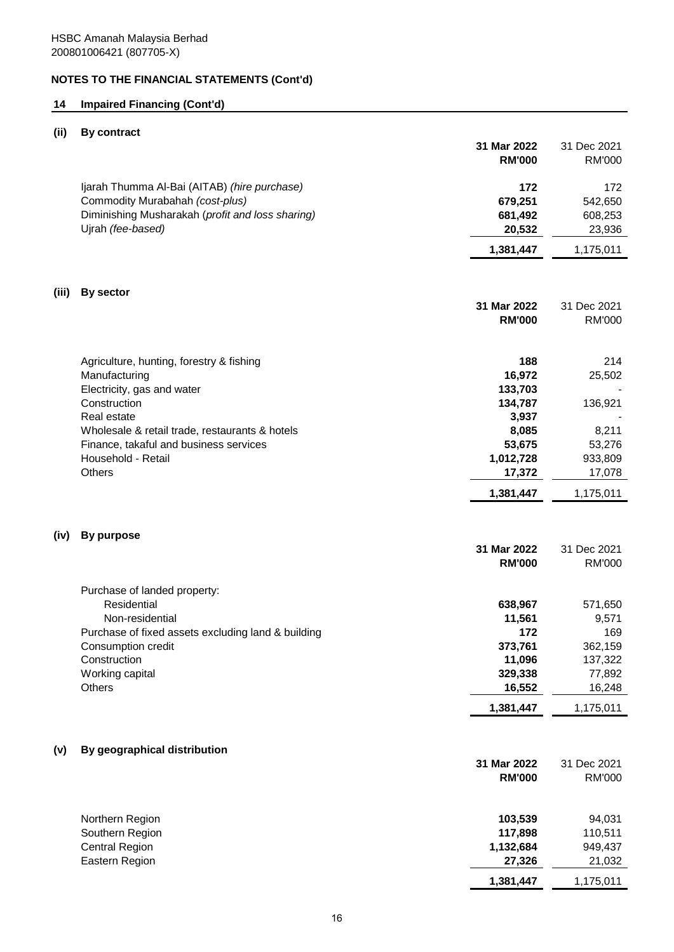## **14 Impaired Financing (Cont'd)**

## **(ii) By contract**

|       |                                                                                                                                                          | 31 Mar 2022<br><b>RM'000</b>           | 31 Dec 2021<br><b>RM'000</b>         |
|-------|----------------------------------------------------------------------------------------------------------------------------------------------------------|----------------------------------------|--------------------------------------|
|       | Ijarah Thumma Al-Bai (AITAB) (hire purchase)<br>Commodity Murabahah (cost-plus)<br>Diminishing Musharakah (profit and loss sharing)<br>Ujrah (fee-based) | 172<br>679,251<br>681,492<br>20,532    | 172<br>542,650<br>608,253<br>23,936  |
|       |                                                                                                                                                          | 1,381,447                              | 1,175,011                            |
| (iii) | By sector                                                                                                                                                |                                        |                                      |
|       |                                                                                                                                                          | 31 Mar 2022<br><b>RM'000</b>           | 31 Dec 2021<br>RM'000                |
|       | Agriculture, hunting, forestry & fishing<br>Manufacturing<br>Electricity, gas and water                                                                  | 188<br>16,972<br>133,703               | 214<br>25,502                        |
|       | Construction<br>Real estate                                                                                                                              | 134,787<br>3,937                       | 136,921                              |
|       | Wholesale & retail trade, restaurants & hotels<br>Finance, takaful and business services<br>Household - Retail<br>Others                                 | 8,085<br>53,675<br>1,012,728<br>17,372 | 8,211<br>53,276<br>933,809<br>17,078 |
|       |                                                                                                                                                          | 1,381,447                              | 1,175,011                            |
| (iv)  | <b>By purpose</b>                                                                                                                                        |                                        |                                      |
|       |                                                                                                                                                          | 31 Mar 2022<br><b>RM'000</b>           | 31 Dec 2021<br>RM'000                |
|       | Purchase of landed property:<br>Residential                                                                                                              | 638,967                                | 571,650                              |
|       | Non-residential                                                                                                                                          | 11,561                                 | 9,571                                |
|       | Purchase of fixed assets excluding land & building<br>Consumption credit<br>Construction                                                                 | 172<br>373,761<br>11,096               | 169<br>362,159<br>137,322            |
|       | Working capital<br>Others                                                                                                                                | 329,338<br>16,552                      | 77,892<br>16,248                     |
|       |                                                                                                                                                          | 1,381,447                              | 1,175,011                            |
| (v)   | By geographical distribution                                                                                                                             |                                        |                                      |
|       |                                                                                                                                                          | 31 Mar 2022<br><b>RM'000</b>           | 31 Dec 2021<br><b>RM'000</b>         |
|       | Northern Region                                                                                                                                          | 103,539                                | 94,031                               |
|       | Southern Region<br><b>Central Region</b><br>Eastern Region                                                                                               | 117,898<br>1,132,684<br>27,326         | 110,511<br>949,437<br>21,032         |
|       |                                                                                                                                                          | 1,381,447                              | 1,175,011                            |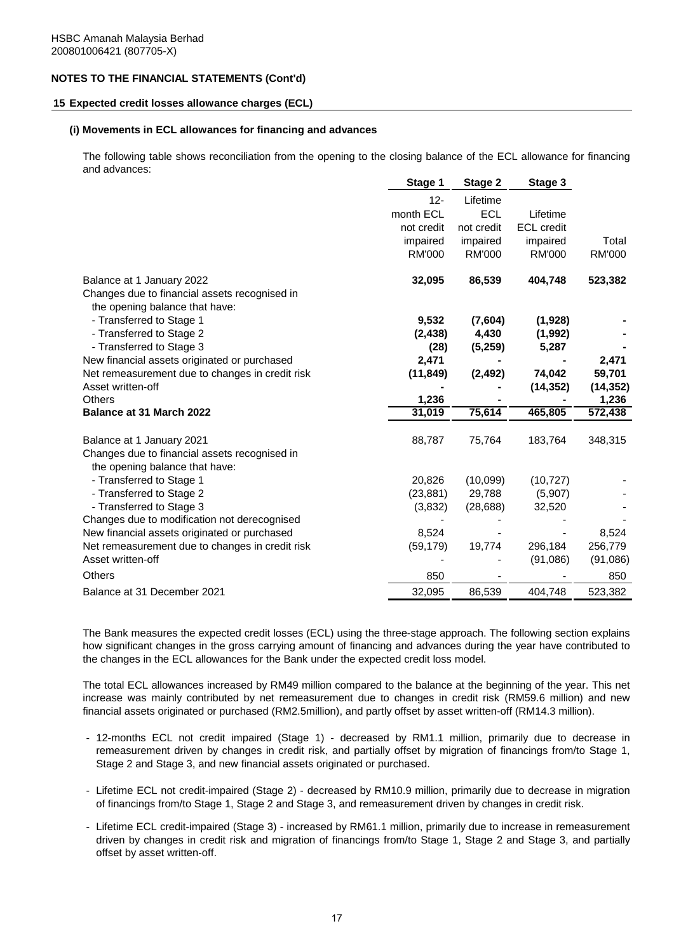#### **15 Expected credit losses allowance charges (ECL)**

#### **(i) Movements in ECL allowances for financing and advances**

The following table shows reconciliation from the opening to the closing balance of the ECL allowance for financing and advances:

|                                                                            | Stage 1          | Stage 2          | Stage 3           |                  |
|----------------------------------------------------------------------------|------------------|------------------|-------------------|------------------|
|                                                                            | $12 -$           | Lifetime         |                   |                  |
|                                                                            | month ECL        | <b>ECL</b>       | Lifetime          |                  |
|                                                                            | not credit       | not credit       | <b>ECL</b> credit |                  |
|                                                                            | impaired         | impaired         | impaired          | Total            |
|                                                                            | RM'000           | <b>RM'000</b>    | RM'000            | <b>RM'000</b>    |
| Balance at 1 January 2022                                                  | 32,095           | 86,539           | 404,748           | 523,382          |
| Changes due to financial assets recognised in                              |                  |                  |                   |                  |
| the opening balance that have:                                             |                  |                  |                   |                  |
| - Transferred to Stage 1<br>- Transferred to Stage 2                       | 9,532            | (7,604)<br>4,430 | (1,928)           |                  |
| - Transferred to Stage 3                                                   | (2, 438)<br>(28) | (5,259)          | (1,992)<br>5,287  |                  |
| New financial assets originated or purchased                               | 2,471            |                  |                   | 2,471            |
| Net remeasurement due to changes in credit risk                            | (11, 849)        | (2, 492)         | 74,042            | 59,701           |
| Asset written-off                                                          |                  |                  | (14, 352)         | (14, 352)        |
|                                                                            |                  |                  |                   |                  |
| <b>Others</b>                                                              |                  |                  |                   |                  |
| Balance at 31 March 2022                                                   | 1,236<br>31,019  | 75,614           | 465,805           | 1,236<br>572,438 |
|                                                                            |                  |                  |                   |                  |
| Balance at 1 January 2021<br>Changes due to financial assets recognised in | 88,787           | 75,764           | 183,764           | 348,315          |
| the opening balance that have:                                             |                  |                  |                   |                  |
| - Transferred to Stage 1                                                   | 20,826           | (10,099)         | (10, 727)         |                  |
| - Transferred to Stage 2                                                   | (23, 881)        | 29,788           | (5,907)           |                  |
| - Transferred to Stage 3                                                   | (3,832)          | (28, 688)        | 32,520            |                  |
| Changes due to modification not derecognised                               |                  |                  |                   |                  |
| New financial assets originated or purchased                               | 8,524            |                  |                   | 8,524            |
| Net remeasurement due to changes in credit risk                            | (59, 179)        | 19,774           | 296,184           | 256,779          |
| Asset written-off                                                          |                  |                  | (91,086)          | (91,086)         |
| Others                                                                     | 850              |                  |                   | 850              |

The Bank measures the expected credit losses (ECL) using the three-stage approach. The following section explains how significant changes in the gross carrying amount of financing and advances during the year have contributed to the changes in the ECL allowances for the Bank under the expected credit loss model.

The total ECL allowances increased by RM49 million compared to the balance at the beginning of the year. This net increase was mainly contributed by net remeasurement due to changes in credit risk (RM59.6 million) and new financial assets originated or purchased (RM2.5million), and partly offset by asset written-off (RM14.3 million).

- 12-months ECL not credit impaired (Stage 1) decreased by RM1.1 million, primarily due to decrease in remeasurement driven by changes in credit risk, and partially offset by migration of financings from/to Stage 1, Stage 2 and Stage 3, and new financial assets originated or purchased.
- Lifetime ECL not credit-impaired (Stage 2) decreased by RM10.9 million, primarily due to decrease in migration of financings from/to Stage 1, Stage 2 and Stage 3, and remeasurement driven by changes in credit risk.
- Lifetime ECL credit-impaired (Stage 3) increased by RM61.1 million, primarily due to increase in remeasurement driven by changes in credit risk and migration of financings from/to Stage 1, Stage 2 and Stage 3, and partially offset by asset written-off.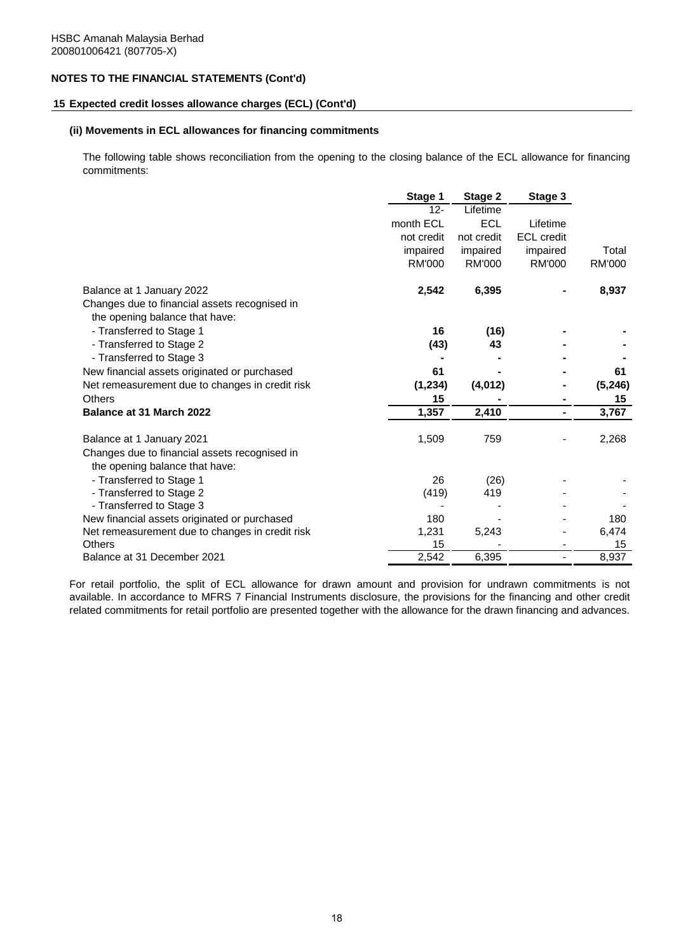#### **15 Expected credit losses allowance charges (ECL) (Cont'd)**

#### **(ii) Movements in ECL allowances for financing commitments**

The following table shows reconciliation from the opening to the closing balance of the ECL allowance for financing commitments:

|                                                 | Stage 1    | Stage 2       | Stage 3                  |               |
|-------------------------------------------------|------------|---------------|--------------------------|---------------|
|                                                 | $12 -$     | Lifetime      |                          |               |
|                                                 | month ECL  | <b>ECL</b>    | Lifetime                 |               |
|                                                 | not credit | not credit    | <b>ECL</b> credit        |               |
|                                                 | impaired   | impaired      | impaired                 | Total         |
|                                                 | RM'000     | <b>RM'000</b> | <b>RM'000</b>            | <b>RM'000</b> |
| Balance at 1 January 2022                       | 2,542      | 6,395         |                          | 8,937         |
| Changes due to financial assets recognised in   |            |               |                          |               |
| the opening balance that have:                  |            |               |                          |               |
| - Transferred to Stage 1                        | 16         | (16)          |                          |               |
| - Transferred to Stage 2                        | (43)       | 43            |                          |               |
| - Transferred to Stage 3                        |            |               |                          |               |
| New financial assets originated or purchased    | 61         |               |                          | 61            |
| Net remeasurement due to changes in credit risk | (1, 234)   | (4,012)       |                          | (5, 246)      |
| <b>Others</b>                                   | 15         |               |                          | 15            |
| Balance at 31 March 2022                        | 1,357      | 2,410         | ۰                        | 3,767         |
| Balance at 1 January 2021                       | 1,509      | 759           |                          | 2,268         |
| Changes due to financial assets recognised in   |            |               |                          |               |
| the opening balance that have:                  |            |               |                          |               |
| - Transferred to Stage 1                        | 26         | (26)          |                          |               |
| - Transferred to Stage 2                        | (419)      | 419           |                          |               |
| - Transferred to Stage 3                        |            |               |                          |               |
| New financial assets originated or purchased    | 180        |               |                          | 180           |
| Net remeasurement due to changes in credit risk | 1,231      | 5,243         |                          | 6,474         |
| Others                                          | 15         |               |                          | 15            |
| Balance at 31 December 2021                     | 2,542      | 6,395         | $\overline{\phantom{a}}$ | 8,937         |

For retail portfolio, the split of ECL allowance for drawn amount and provision for undrawn commitments is not available. In accordance to MFRS 7 Financial Instruments disclosure, the provisions for the financing and other credit related commitments for retail portfolio are presented together with the allowance for the drawn financing and advances.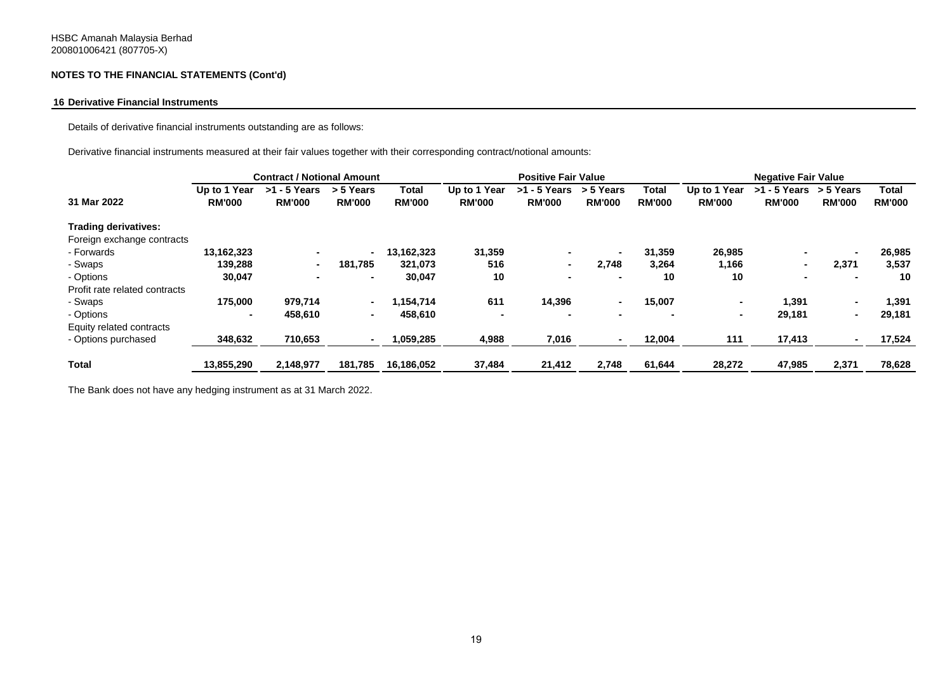#### **16 Derivative Financial Instruments**

Details of derivative financial instruments outstanding are as follows:

Derivative financial instruments measured at their fair values together with their corresponding contract/notional amounts:

| Up to 1 Year<br><b>RM'000</b> | $>1 - 5$ Years<br><b>RM'000</b> | > 5 Years<br><b>RM'000</b> | Total<br><b>RM'000</b> | Up to 1 Year<br><b>RM'000</b>     | $>1 - 5$ Years<br><b>RM'000</b> | > 5 Years<br><b>RM'000</b> | Total<br><b>RM'000</b>     | Up to 1 Year<br><b>RM'000</b> | <b>RM'000</b> | > 5 Years<br><b>RM'000</b> | Total<br><b>RM'000</b>                       |
|-------------------------------|---------------------------------|----------------------------|------------------------|-----------------------------------|---------------------------------|----------------------------|----------------------------|-------------------------------|---------------|----------------------------|----------------------------------------------|
|                               |                                 |                            |                        |                                   |                                 |                            |                            |                               |               |                            |                                              |
|                               |                                 |                            |                        |                                   |                                 |                            |                            |                               |               |                            |                                              |
| 13,162,323                    | $\sim$                          | $\sim$                     | 13,162,323             | 31,359                            | ۰                               | $\blacksquare$             | 31,359                     | 26,985                        |               |                            | 26,985                                       |
| 139,288                       |                                 | 181,785                    | 321,073                | 516                               | $\blacksquare$                  | 2,748                      | 3,264                      | 1,166                         |               | 2,371                      | 3,537                                        |
| 30,047                        | $\sim$                          | $\blacksquare$             | 30,047                 | 10                                | $\blacksquare$                  | $\blacksquare$             | 10                         | 10                            |               |                            | 10                                           |
|                               |                                 |                            |                        |                                   |                                 |                            |                            |                               |               |                            |                                              |
| 175,000                       | 979,714                         | $\sim$                     | 1.154.714              | 611                               | 14,396                          | $\sim$                     | 15,007                     | $\sim$                        | 1.391         |                            | 1,391                                        |
| $\blacksquare$                | 458,610                         | $\sim$                     | 458,610                | $\blacksquare$                    | $\blacksquare$                  |                            |                            | $\blacksquare$                | 29,181        |                            | 29,181                                       |
|                               |                                 |                            |                        |                                   |                                 |                            |                            |                               |               |                            |                                              |
| 348,632                       | 710,653                         | $\blacksquare$             | 1,059,285              | 4,988                             | 7,016                           |                            | 12,004                     | 111                           | 17,413        |                            | 17,524                                       |
| 13,855,290                    | 2,148,977                       | 181,785                    | 16,186,052             | 37,484                            | 21,412                          | 2,748                      | 61,644                     | 28,272                        | 47,985        | 2,371                      | 78,628                                       |
|                               |                                 |                            |                        | <b>Contract / Notional Amount</b> |                                 |                            | <b>Positive Fair Value</b> |                               |               |                            | <b>Negative Fair Value</b><br>$>1 - 5$ Years |

The Bank does not have any hedging instrument as at 31 March 2022.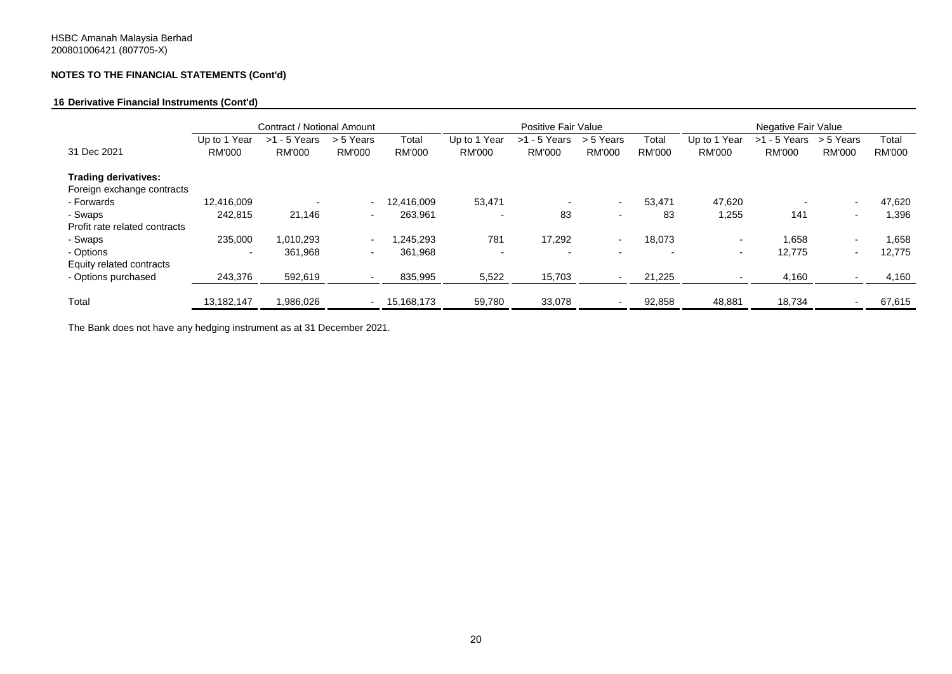#### **16 Derivative Financial Instruments (Cont'd)**

|                               | Contract / Notional Amount |                |                          | Positive Fair Value |                          |                          | Negative Fair Value      |                          |                          |                |                          |               |
|-------------------------------|----------------------------|----------------|--------------------------|---------------------|--------------------------|--------------------------|--------------------------|--------------------------|--------------------------|----------------|--------------------------|---------------|
|                               | Up to 1 Year               | $>1 - 5$ Years | > 5 Years                | Total               | Up to 1 Year             | $>1 - 5$ Years           | > 5 Years                | Total                    | Up to 1 Year             | $>1 - 5$ Years | > 5 Years                | Total         |
| 31 Dec 2021                   | <b>RM'000</b>              | <b>RM'000</b>  | <b>RM'000</b>            | <b>RM'000</b>       | <b>RM'000</b>            | <b>RM'000</b>            | <b>RM'000</b>            | <b>RM'000</b>            | <b>RM'000</b>            | <b>RM'000</b>  | <b>RM'000</b>            | <b>RM'000</b> |
| <b>Trading derivatives:</b>   |                            |                |                          |                     |                          |                          |                          |                          |                          |                |                          |               |
| Foreign exchange contracts    |                            |                |                          |                     |                          |                          |                          |                          |                          |                |                          |               |
| - Forwards                    | 12,416,009                 |                | ٠                        | 12,416,009          | 53,471                   |                          | $\sim$                   | 53,471                   | 47,620                   |                |                          | 47,620        |
| - Swaps                       | 242,815                    | 21,146         | $\overline{\phantom{a}}$ | 263,961             | $\blacksquare$           | 83                       | $\overline{\phantom{0}}$ | 83                       | 1,255                    | 141            | $\overline{\phantom{0}}$ | 1,396         |
| Profit rate related contracts |                            |                |                          |                     |                          |                          |                          |                          |                          |                |                          |               |
| - Swaps                       | 235,000                    | 1.010.293      | $\overline{\phantom{a}}$ | 1.245.293           | 781                      | 17,292                   | $\sim$                   | 18,073                   | $\overline{\phantom{a}}$ | 1.658          | $\overline{\phantom{0}}$ | 1,658         |
| - Options                     | $\overline{\phantom{a}}$   | 361,968        | ٠                        | 361,968             | $\overline{\phantom{a}}$ | $\overline{\phantom{a}}$ | $\overline{\phantom{a}}$ | $\overline{\phantom{0}}$ | $\overline{\phantom{a}}$ | 12,775         | $\overline{\phantom{0}}$ | 12,775        |
| Equity related contracts      |                            |                |                          |                     |                          |                          |                          |                          |                          |                |                          |               |
| - Options purchased           | 243,376                    | 592,619        | $\overline{\phantom{a}}$ | 835,995             | 5,522                    | 15,703                   |                          | 21,225                   |                          | 4,160          |                          | 4,160         |
| Total                         | 13.182.147                 | 1,986,026      | $\sim$                   | 15,168,173          | 59,780                   | 33,078                   |                          | 92,858                   | 48,881                   | 18,734         | $\overline{\phantom{0}}$ | 67,615        |

The Bank does not have any hedging instrument as at 31 December 2021.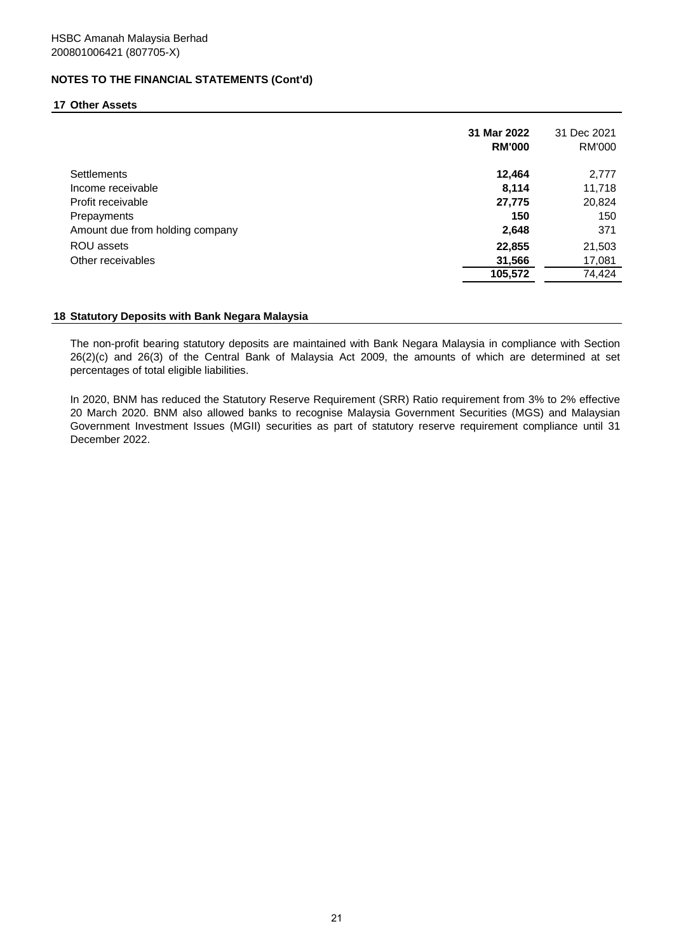#### **17 Other Assets**

|                                 | 31 Mar 2022<br><b>RM'000</b> | 31 Dec 2021<br>RM'000 |
|---------------------------------|------------------------------|-----------------------|
| <b>Settlements</b>              | 12,464                       | 2,777                 |
| Income receivable               | 8,114                        | 11,718                |
| Profit receivable               | 27,775                       | 20,824                |
| Prepayments                     | 150                          | 150                   |
| Amount due from holding company | 2,648                        | 371                   |
| ROU assets                      | 22,855                       | 21,503                |
| Other receivables               | 31,566                       | 17,081                |
|                                 | 105,572                      | 74,424                |

#### **18 Statutory Deposits with Bank Negara Malaysia**

The non-profit bearing statutory deposits are maintained with Bank Negara Malaysia in compliance with Section 26(2)(c) and 26(3) of the Central Bank of Malaysia Act 2009, the amounts of which are determined at set percentages of total eligible liabilities.

In 2020, BNM has reduced the Statutory Reserve Requirement (SRR) Ratio requirement from 3% to 2% effective 20 March 2020. BNM also allowed banks to recognise Malaysia Government Securities (MGS) and Malaysian Government Investment Issues (MGII) securities as part of statutory reserve requirement compliance until 31 December 2022.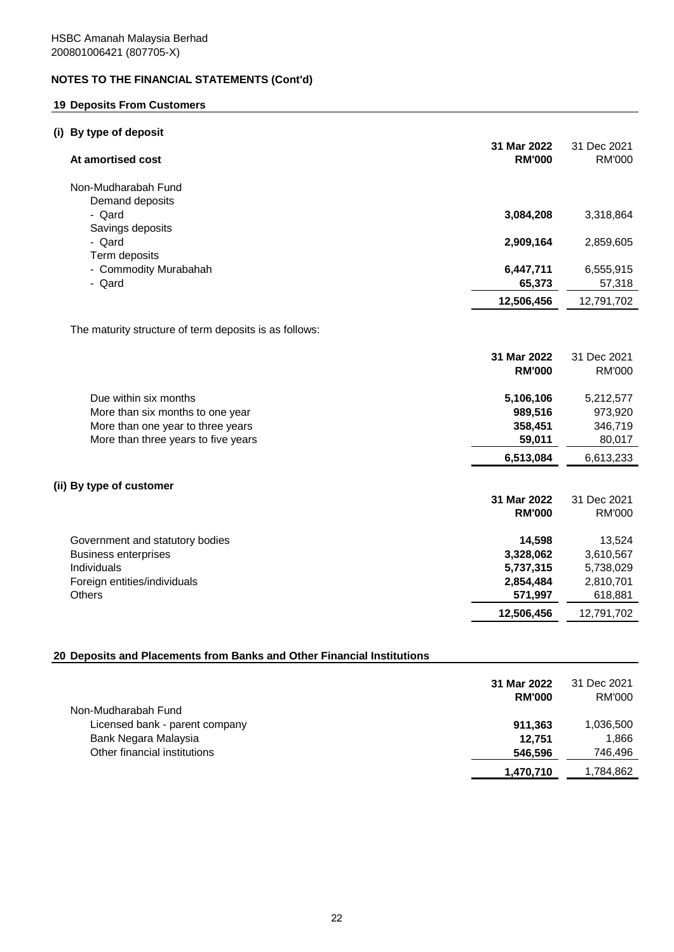## **19 Deposits From Customers**

## **(i) By type of deposit**

| At amortised cost                                      | 31 Mar 2022<br><b>RM'000</b> | 31 Dec 2021<br><b>RM'000</b> |
|--------------------------------------------------------|------------------------------|------------------------------|
| Non-Mudharabah Fund                                    |                              |                              |
| Demand deposits                                        |                              |                              |
| - Qard                                                 | 3,084,208                    | 3,318,864                    |
| Savings deposits                                       |                              |                              |
| - Qard<br>Term deposits                                | 2,909,164                    | 2,859,605                    |
| - Commodity Murabahah                                  | 6,447,711                    | 6,555,915                    |
| - Qard                                                 | 65,373                       | 57,318                       |
|                                                        | 12,506,456                   | 12,791,702                   |
|                                                        |                              |                              |
| The maturity structure of term deposits is as follows: |                              |                              |
|                                                        | 31 Mar 2022                  | 31 Dec 2021                  |
|                                                        | <b>RM'000</b>                | <b>RM'000</b>                |
| Due within six months                                  | 5,106,106                    | 5,212,577                    |
| More than six months to one year                       | 989,516                      | 973,920                      |
| More than one year to three years                      | 358,451                      | 346,719                      |
| More than three years to five years                    | 59,011                       | 80,017                       |
|                                                        | 6,513,084                    | 6,613,233                    |
| (ii) By type of customer                               |                              |                              |
|                                                        | 31 Mar 2022                  | 31 Dec 2021                  |
|                                                        | <b>RM'000</b>                | <b>RM'000</b>                |
| Government and statutory bodies                        | 14,598                       | 13,524                       |
| <b>Business enterprises</b>                            | 3,328,062                    | 3,610,567                    |
| Individuals                                            | 5,737,315                    | 5,738,029                    |
| Foreign entities/individuals                           | 2,854,484                    | 2,810,701                    |
| Others                                                 | 571,997                      | 618,881                      |
|                                                        | 12,506,456                   | 12,791,702                   |

## **20 Deposits and Placements from Banks and Other Financial Institutions**

|                                | 31 Mar 2022<br><b>RM'000</b> | 31 Dec 2021<br>RM'000 |
|--------------------------------|------------------------------|-----------------------|
| Non-Mudharabah Fund            |                              |                       |
| Licensed bank - parent company | 911.363                      | 1,036,500             |
| Bank Negara Malaysia           | 12.751                       | 1.866                 |
| Other financial institutions   | 546,596                      | 746,496               |
|                                | 1,470,710                    | 1,784,862             |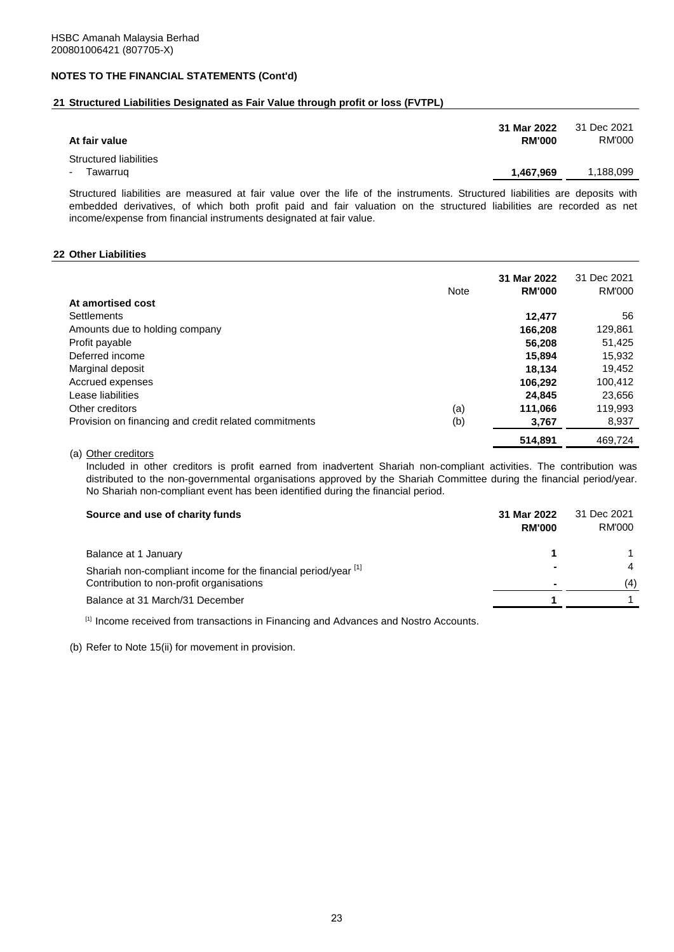## **21 Structured Liabilities Designated as Fair Value through profit or loss (FVTPL)**

| At fair value                            | 31 Mar 2022<br><b>RM'000</b> | 31 Dec 2021<br>RM'000 |
|------------------------------------------|------------------------------|-----------------------|
| Structured liabilities<br>Tawarrug<br>۰. | 1,467,969                    | 1,188,099             |

Structured liabilities are measured at fair value over the life of the instruments. Structured liabilities are deposits with embedded derivatives, of which both profit paid and fair valuation on the structured liabilities are recorded as net income/expense from financial instruments designated at fair value.

#### **22 Other Liabilities**

|                                                       | <b>Note</b> | 31 Mar 2022<br><b>RM'000</b> | 31 Dec 2021<br>RM'000 |
|-------------------------------------------------------|-------------|------------------------------|-----------------------|
| At amortised cost                                     |             |                              |                       |
| Settlements                                           |             | 12.477                       | 56                    |
| Amounts due to holding company                        |             | 166,208                      | 129,861               |
| Profit payable                                        |             | 56.208                       | 51,425                |
| Deferred income                                       |             | 15,894                       | 15,932                |
| Marginal deposit                                      |             | 18.134                       | 19,452                |
| Accrued expenses                                      |             | 106,292                      | 100,412               |
| Lease liabilities                                     |             | 24.845                       | 23,656                |
| Other creditors                                       | (a)         | 111,066                      | 119,993               |
| Provision on financing and credit related commitments | (b)         | 3,767                        | 8,937                 |
|                                                       |             | 514.891                      | 469.724               |

(a) Other creditors

Included in other creditors is profit earned from inadvertent Shariah non-compliant activities. The contribution was distributed to the non-governmental organisations approved by the Shariah Committee during the financial period/year. No Shariah non-compliant event has been identified during the financial period.

| Source and use of charity funds                                | 31 Mar 2022<br><b>RM'000</b> | 31 Dec 2021<br>RM'000 |
|----------------------------------------------------------------|------------------------------|-----------------------|
| Balance at 1 January                                           |                              |                       |
| Shariah non-compliant income for the financial period/year [1] |                              | $\overline{4}$        |
| Contribution to non-profit organisations                       |                              | (4)                   |
| Balance at 31 March/31 December                                |                              |                       |

[1] Income received from transactions in Financing and Advances and Nostro Accounts.

(b) Refer to Note 15(ii) for movement in provision.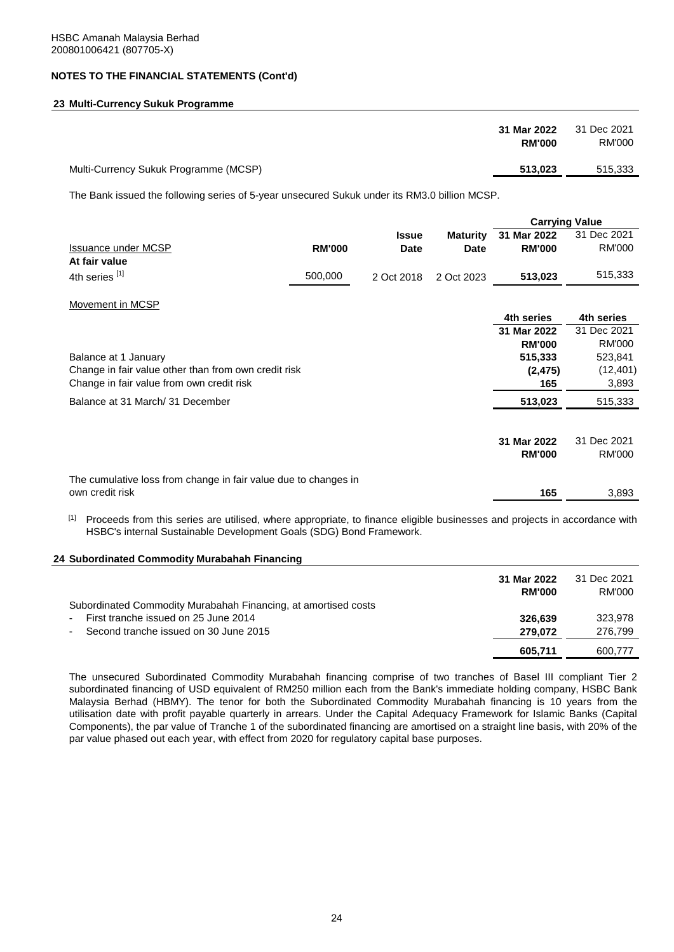## **23 Multi-Currency Sukuk Programme**

|                                       | 31 Mar 2022<br><b>RM'000</b> | 31 Dec 2021<br>RM'000 |
|---------------------------------------|------------------------------|-----------------------|
| Multi-Currency Sukuk Programme (MCSP) | 513,023                      | 515,333               |

The Bank issued the following series of 5-year unsecured Sukuk under its RM3.0 billion MCSP.

|                                                                 |               |              |                 |               | <b>Carrying Value</b> |
|-----------------------------------------------------------------|---------------|--------------|-----------------|---------------|-----------------------|
|                                                                 |               | <b>Issue</b> | <b>Maturity</b> | 31 Mar 2022   | 31 Dec 2021           |
| <b>Issuance under MCSP</b>                                      | <b>RM'000</b> | <b>Date</b>  | <b>Date</b>     | <b>RM'000</b> | RM'000                |
| At fair value                                                   |               |              |                 |               |                       |
| 4th series [1]                                                  | 500,000       | 2 Oct 2018   | 2 Oct 2023      | 513,023       | 515,333               |
| Movement in MCSP                                                |               |              |                 |               |                       |
|                                                                 |               |              |                 | 4th series    | 4th series            |
|                                                                 |               |              |                 | 31 Mar 2022   | 31 Dec 2021           |
|                                                                 |               |              |                 | <b>RM'000</b> | RM'000                |
| Balance at 1 January                                            |               |              |                 | 515,333       | 523,841               |
| Change in fair value other than from own credit risk            |               |              |                 | (2, 475)      | (12, 401)             |
| Change in fair value from own credit risk                       |               |              |                 | 165           | 3,893                 |
| Balance at 31 March/ 31 December                                |               |              |                 | 513,023       | 515,333               |
|                                                                 |               |              |                 |               |                       |
|                                                                 |               |              |                 | 31 Mar 2022   | 31 Dec 2021           |
|                                                                 |               |              |                 | <b>RM'000</b> | RM'000                |
| The cumulative loss from change in fair value due to changes in |               |              |                 |               |                       |
| own credit risk                                                 |               |              |                 | 165           | 3,893                 |

[1] Proceeds from this series are utilised, where appropriate, to finance eligible businesses and projects in accordance with HSBC's internal Sustainable Development Goals (SDG) Bond Framework.

#### **24 Subordinated Commodity Murabahah Financing**

|                                                                | 31 Mar 2022   | 31 Dec 2021 |
|----------------------------------------------------------------|---------------|-------------|
|                                                                | <b>RM'000</b> | RM'000      |
| Subordinated Commodity Murabahah Financing, at amortised costs |               |             |
| First tranche issued on 25 June 2014                           | 326.639       | 323.978     |
| Second tranche issued on 30 June 2015<br>$\sim$                | 279.072       | 276.799     |
|                                                                | 605,711       | 600.777     |

The unsecured Subordinated Commodity Murabahah financing comprise of two tranches of Basel III compliant Tier 2 subordinated financing of USD equivalent of RM250 million each from the Bank's immediate holding company, HSBC Bank Malaysia Berhad (HBMY). The tenor for both the Subordinated Commodity Murabahah financing is 10 years from the utilisation date with profit payable quarterly in arrears. Under the Capital Adequacy Framework for Islamic Banks (Capital Components), the par value of Tranche 1 of the subordinated financing are amortised on a straight line basis, with 20% of the par value phased out each year, with effect from 2020 for regulatory capital base purposes.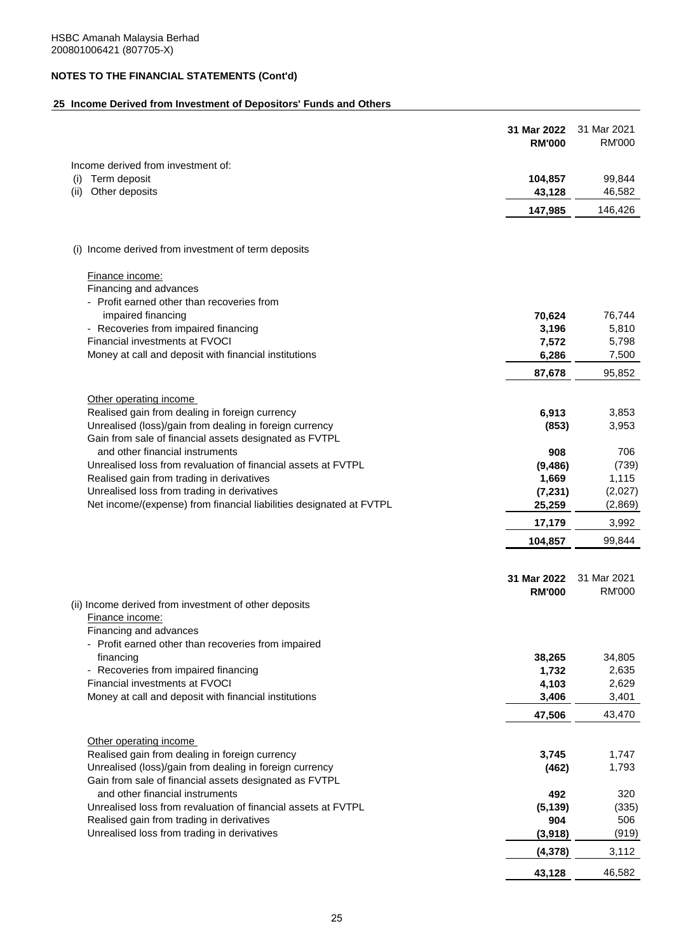## **25 Income Derived from Investment of Depositors' Funds and Others**

|                                                                                                                    | 31 Mar 2022<br><b>RM'000</b> | 31 Mar 2021<br><b>RM'000</b> |
|--------------------------------------------------------------------------------------------------------------------|------------------------------|------------------------------|
| Income derived from investment of:                                                                                 |                              |                              |
| Term deposit<br>(i)                                                                                                | 104,857                      | 99,844                       |
| Other deposits<br>(ii)                                                                                             | 43,128                       | 46,582                       |
|                                                                                                                    | 147,985                      | 146,426                      |
| (i) Income derived from investment of term deposits                                                                |                              |                              |
|                                                                                                                    |                              |                              |
| <b>Finance income:</b>                                                                                             |                              |                              |
| Financing and advances<br>- Profit earned other than recoveries from                                               |                              |                              |
| impaired financing                                                                                                 | 70,624                       | 76,744                       |
| - Recoveries from impaired financing                                                                               | 3,196                        | 5,810                        |
| Financial investments at FVOCI                                                                                     | 7,572                        | 5,798                        |
| Money at call and deposit with financial institutions                                                              | 6,286                        | 7,500                        |
|                                                                                                                    | 87,678                       | 95,852                       |
| Other operating income                                                                                             |                              |                              |
| Realised gain from dealing in foreign currency                                                                     | 6,913                        | 3,853                        |
| Unrealised (loss)/gain from dealing in foreign currency<br>Gain from sale of financial assets designated as FVTPL  | (853)                        | 3,953                        |
| and other financial instruments                                                                                    | 908                          | 706                          |
| Unrealised loss from revaluation of financial assets at FVTPL                                                      | (9, 486)                     | (739)                        |
| Realised gain from trading in derivatives                                                                          | 1,669                        | 1,115                        |
| Unrealised loss from trading in derivatives<br>Net income/(expense) from financial liabilities designated at FVTPL | (7, 231)                     | (2,027)                      |
|                                                                                                                    | 25,259<br>17,179             | (2,869)<br>3,992             |
|                                                                                                                    | 104,857                      | 99,844                       |
|                                                                                                                    |                              |                              |
|                                                                                                                    | 31 Mar 2022                  | 31 Mar 2021                  |
| (ii) Income derived from investment of other deposits                                                              | <b>RM'000</b>                | <b>RM'000</b>                |
| Finance income:                                                                                                    |                              |                              |
| Financing and advances                                                                                             |                              |                              |
| - Profit earned other than recoveries from impaired                                                                |                              |                              |
| financing                                                                                                          | 38,265                       | 34,805                       |
| - Recoveries from impaired financing                                                                               | 1,732                        | 2,635                        |
| Financial investments at FVOCI<br>Money at call and deposit with financial institutions                            | 4,103<br>3,406               | 2,629<br>3,401               |
|                                                                                                                    | 47,506                       | 43,470                       |
|                                                                                                                    |                              |                              |
| Other operating income<br>Realised gain from dealing in foreign currency                                           | 3,745                        | 1,747                        |
| Unrealised (loss)/gain from dealing in foreign currency                                                            | (462)                        | 1,793                        |
| Gain from sale of financial assets designated as FVTPL                                                             |                              |                              |
| and other financial instruments                                                                                    | 492                          | 320                          |
| Unrealised loss from revaluation of financial assets at FVTPL                                                      | (5, 139)                     | (335)                        |
| Realised gain from trading in derivatives                                                                          | 904                          | 506                          |
| Unrealised loss from trading in derivatives                                                                        | (3,918)                      | (919)                        |
|                                                                                                                    | (4, 378)                     | 3,112                        |
|                                                                                                                    | 43,128                       | 46,582                       |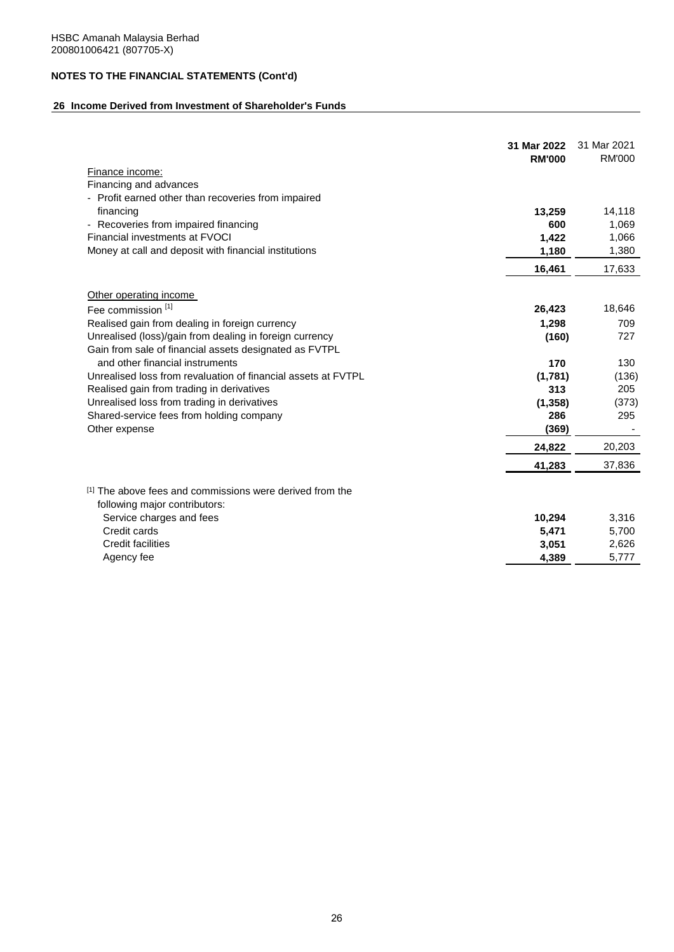## **26 Income Derived from Investment of Shareholder's Funds**

|                                                                                           | 31 Mar 2022<br><b>RM'000</b> | 31 Mar 2021<br><b>RM'000</b> |
|-------------------------------------------------------------------------------------------|------------------------------|------------------------------|
| Finance income:                                                                           |                              |                              |
| Financing and advances                                                                    |                              |                              |
| - Profit earned other than recoveries from impaired                                       |                              |                              |
| financing                                                                                 | 13,259                       | 14,118                       |
| - Recoveries from impaired financing                                                      | 600                          | 1,069                        |
| Financial investments at FVOCI                                                            | 1,422                        | 1,066                        |
| Money at call and deposit with financial institutions                                     | 1,180                        | 1,380                        |
|                                                                                           | 16,461                       | 17,633                       |
| Other operating income                                                                    |                              |                              |
| Fee commission <sup>[1]</sup>                                                             | 26,423                       | 18,646                       |
| Realised gain from dealing in foreign currency                                            | 1,298                        | 709                          |
| Unrealised (loss)/gain from dealing in foreign currency                                   | (160)                        | 727                          |
| Gain from sale of financial assets designated as FVTPL                                    |                              |                              |
| and other financial instruments                                                           | 170                          | 130                          |
| Unrealised loss from revaluation of financial assets at FVTPL                             | (1,781)                      | (136)                        |
| Realised gain from trading in derivatives                                                 | 313                          | 205                          |
| Unrealised loss from trading in derivatives                                               | (1,358)                      | (373)                        |
| Shared-service fees from holding company                                                  | 286                          | 295                          |
| Other expense                                                                             | (369)                        |                              |
|                                                                                           | 24,822                       | 20,203                       |
|                                                                                           | 41,283                       | 37,836                       |
| [1] The above fees and commissions were derived from the<br>following major contributors: |                              |                              |
| Service charges and fees                                                                  | 10,294                       | 3,316                        |
| Credit cards                                                                              | 5,471                        | 5,700                        |
| Credit facilities                                                                         | 3,051                        | 2,626                        |
| Agency fee                                                                                | 4,389                        | 5,777                        |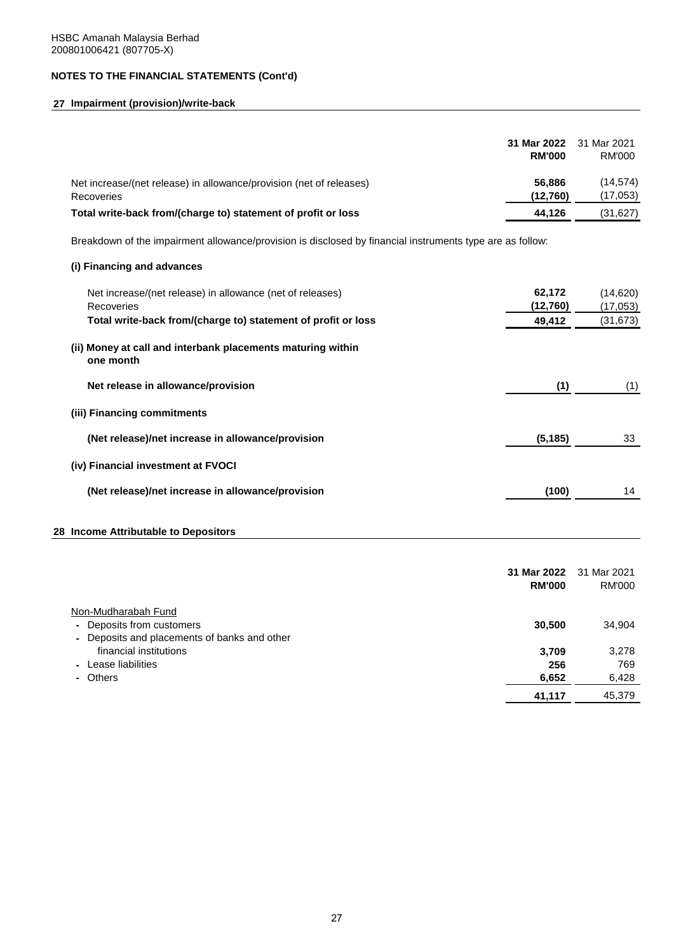## **27 Impairment (provision)/write-back**

|                                                                                                           | 31 Mar 2022<br><b>RM'000</b> | 31 Mar 2021<br><b>RM'000</b> |
|-----------------------------------------------------------------------------------------------------------|------------------------------|------------------------------|
| Net increase/(net release) in allowance/provision (net of releases)<br>Recoveries                         | 56,886<br>(12,760)           | (14, 574)<br>(17, 053)       |
| Total write-back from/(charge to) statement of profit or loss                                             | 44,126                       | (31, 627)                    |
| Breakdown of the impairment allowance/provision is disclosed by financial instruments type are as follow: |                              |                              |
| (i) Financing and advances                                                                                |                              |                              |
| Net increase/(net release) in allowance (net of releases)<br>Recoveries                                   | 62,172<br>(12,760)           | (14, 620)<br>(17, 053)       |
| Total write-back from/(charge to) statement of profit or loss                                             | 49,412                       | (31, 673)                    |
| (ii) Money at call and interbank placements maturing within<br>one month                                  |                              |                              |
| Net release in allowance/provision                                                                        | (1)                          | (1)                          |
| (iii) Financing commitments                                                                               |                              |                              |
| (Net release)/net increase in allowance/provision                                                         | (5, 185)                     | 33                           |
| (iv) Financial investment at FVOCI                                                                        |                              |                              |
| (Net release)/net increase in allowance/provision                                                         | (100)                        | 14                           |
| 28 Income Attributable to Depositors                                                                      |                              |                              |

|                                                              | 31 Mar 2022<br><b>RM'000</b> | 31 Mar 2021<br>RM'000 |
|--------------------------------------------------------------|------------------------------|-----------------------|
| Non-Mudharabah Fund                                          |                              |                       |
| Deposits from customers                                      | 30,500                       | 34,904                |
| Deposits and placements of banks and other<br>$\blacksquare$ |                              |                       |
| financial institutions                                       | 3.709                        | 3,278                 |
| - Lease liabilities                                          | 256                          | 769                   |
| - Others                                                     | 6,652                        | 6,428                 |
|                                                              | 41,117                       | 45,379                |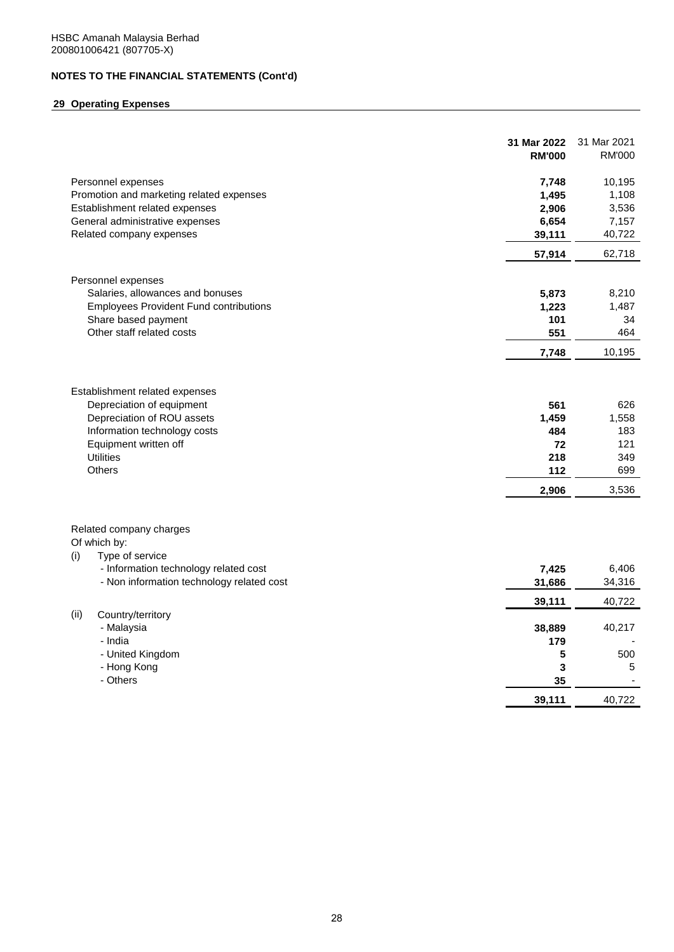## **29 Operating Expenses**

|                                                                                                            | 31 Mar 2022<br><b>RM'000</b> | 31 Mar 2021<br><b>RM'000</b> |
|------------------------------------------------------------------------------------------------------------|------------------------------|------------------------------|
| Personnel expenses                                                                                         | 7,748                        | 10,195                       |
| Promotion and marketing related expenses                                                                   | 1,495                        | 1,108                        |
| Establishment related expenses                                                                             | 2,906                        | 3,536                        |
| General administrative expenses                                                                            | 6,654                        | 7,157                        |
| Related company expenses                                                                                   | 39,111                       | 40,722                       |
|                                                                                                            | 57,914                       | 62,718                       |
| Personnel expenses                                                                                         |                              |                              |
| Salaries, allowances and bonuses                                                                           | 5,873                        | 8,210                        |
| <b>Employees Provident Fund contributions</b>                                                              | 1,223                        | 1,487                        |
| Share based payment                                                                                        | 101                          | 34                           |
| Other staff related costs                                                                                  | 551                          | 464                          |
|                                                                                                            |                              | 10,195                       |
|                                                                                                            | 7,748                        |                              |
| Establishment related expenses<br>Depreciation of equipment<br>Depreciation of ROU assets                  | 561<br>1,459                 | 626<br>1,558                 |
| Information technology costs                                                                               | 484                          | 183                          |
| Equipment written off                                                                                      | 72                           | 121                          |
| <b>Utilities</b>                                                                                           | 218                          | 349                          |
| Others                                                                                                     | 112                          | 699                          |
|                                                                                                            | 2,906                        | 3,536                        |
| Related company charges<br>Of which by:<br>Type of service<br>(i)<br>- Information technology related cost | 7,425                        | 6,406                        |
| - Non information technology related cost                                                                  | 31,686                       | 34,316                       |
|                                                                                                            | 39,111                       | 40,722                       |
| Country/territory<br>(ii)                                                                                  |                              |                              |
| - Malaysia                                                                                                 | 38,889                       | 40,217                       |
| - India                                                                                                    | 179                          |                              |
| - United Kingdom                                                                                           | 5                            | 500                          |
| - Hong Kong                                                                                                | 3                            | 5                            |
| - Others                                                                                                   | 35                           |                              |
|                                                                                                            | 39,111                       | 40,722                       |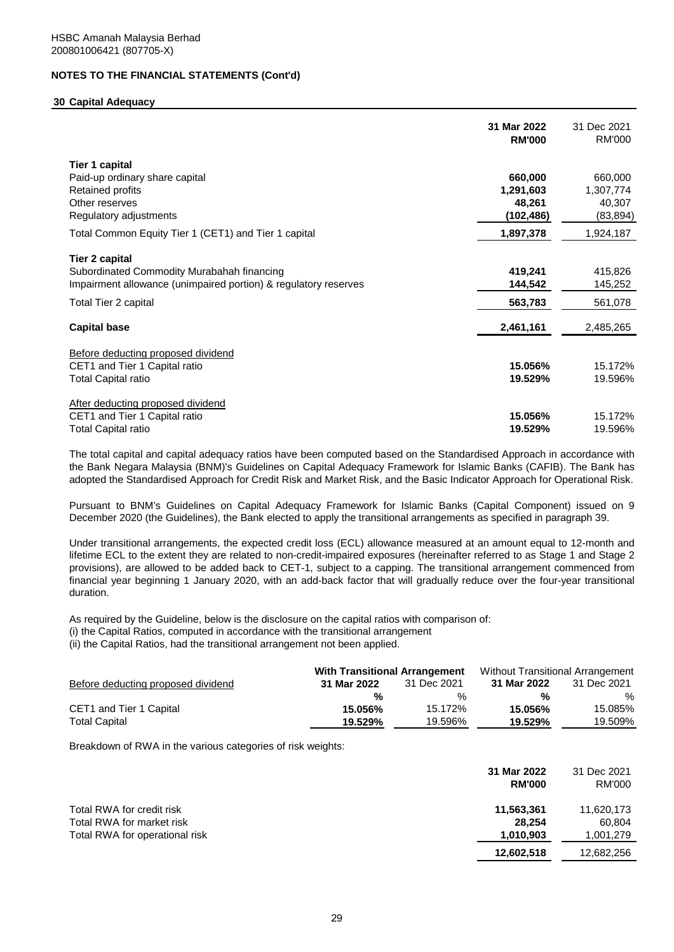#### **30 Capital Adequacy**

|                                                                 | 31 Mar 2022<br><b>RM'000</b> | 31 Dec 2021<br>RM'000 |
|-----------------------------------------------------------------|------------------------------|-----------------------|
| <b>Tier 1 capital</b>                                           |                              |                       |
| Paid-up ordinary share capital                                  | 660,000                      | 660,000               |
| Retained profits                                                | 1,291,603                    | 1,307,774             |
| Other reserves                                                  | 48,261                       | 40,307                |
| Regulatory adjustments                                          | (102, 486)                   | (83, 894)             |
| Total Common Equity Tier 1 (CET1) and Tier 1 capital            | 1,897,378                    | 1,924,187             |
| <b>Tier 2 capital</b>                                           |                              |                       |
| Subordinated Commodity Murabahah financing                      | 419,241                      | 415,826               |
| Impairment allowance (unimpaired portion) & regulatory reserves | 144,542                      | 145,252               |
| Total Tier 2 capital                                            | 563,783                      | 561,078               |
| <b>Capital base</b>                                             | 2,461,161                    | 2,485,265             |
| Before deducting proposed dividend                              |                              |                       |
| CET1 and Tier 1 Capital ratio                                   | 15.056%                      | 15.172%               |
| <b>Total Capital ratio</b>                                      | 19.529%                      | 19.596%               |
| After deducting proposed dividend                               |                              |                       |
| CET1 and Tier 1 Capital ratio                                   | 15.056%                      | 15.172%               |
| <b>Total Capital ratio</b>                                      | 19.529%                      | 19.596%               |

The total capital and capital adequacy ratios have been computed based on the Standardised Approach in accordance with the Bank Negara Malaysia (BNM)'s Guidelines on Capital Adequacy Framework for Islamic Banks (CAFIB). The Bank has adopted the Standardised Approach for Credit Risk and Market Risk, and the Basic Indicator Approach for Operational Risk.

Pursuant to BNM's Guidelines on Capital Adequacy Framework for Islamic Banks (Capital Component) issued on 9 December 2020 (the Guidelines), the Bank elected to apply the transitional arrangements as specified in paragraph 39.

Under transitional arrangements, the expected credit loss (ECL) allowance measured at an amount equal to 12-month and lifetime ECL to the extent they are related to non-credit-impaired exposures (hereinafter referred to as Stage 1 and Stage 2 provisions), are allowed to be added back to CET-1, subject to a capping. The transitional arrangement commenced from financial year beginning 1 January 2020, with an add-back factor that will gradually reduce over the four-year transitional duration.

As required by the Guideline, below is the disclosure on the capital ratios with comparison of: (i) the Capital Ratios, computed in accordance with the transitional arrangement (ii) the Capital Ratios, had the transitional arrangement not been applied.

|                                    | <b>With Transitional Arrangement</b> |             | Without Transitional Arrangement |             |
|------------------------------------|--------------------------------------|-------------|----------------------------------|-------------|
| Before deducting proposed dividend | 31 Mar 2022                          | 31 Dec 2021 | 31 Mar 2022                      | 31 Dec 2021 |
|                                    | %                                    | %           | %                                | %           |
| CET1 and Tier 1 Capital            | 15.056%                              | 15.172%     | 15.056%                          | 15.085%     |
| <b>Total Capital</b>               | 19.529%                              | 19.596%     | 19.529%                          | 19.509%     |

Breakdown of RWA in the various categories of risk weights:

|                                                                                          | 31 Mar 2022<br><b>RM'000</b>      | 31 Dec 2021<br><b>RM'000</b>      |
|------------------------------------------------------------------------------------------|-----------------------------------|-----------------------------------|
| Total RWA for credit risk<br>Total RWA for market risk<br>Total RWA for operational risk | 11,563,361<br>28.254<br>1.010.903 | 11,620,173<br>60.804<br>1,001,279 |
|                                                                                          | 12,602,518                        | 12,682,256                        |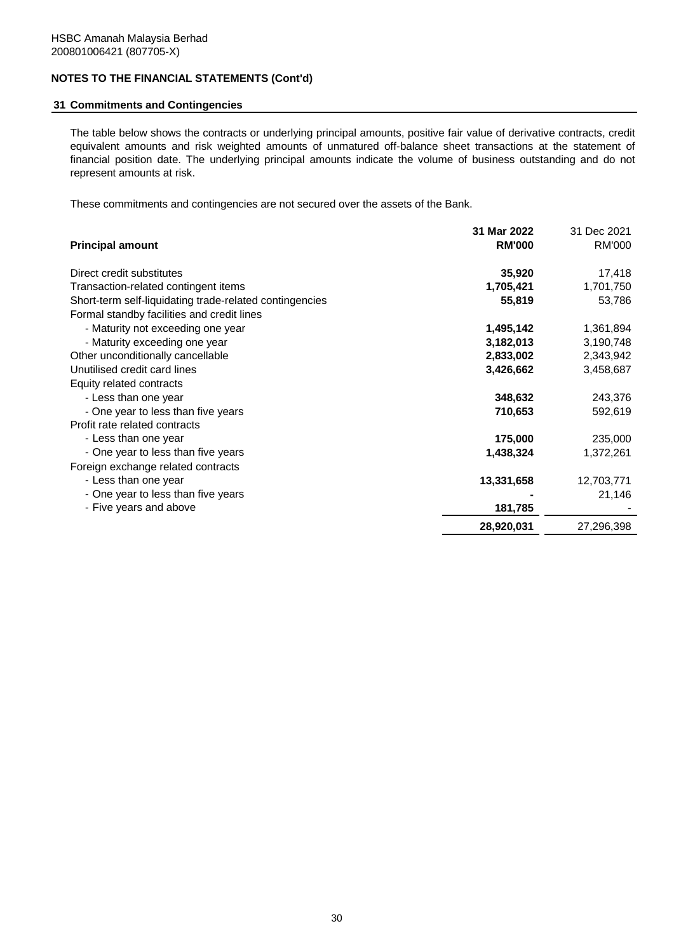## **31 Commitments and Contingencies**

The table below shows the contracts or underlying principal amounts, positive fair value of derivative contracts, credit equivalent amounts and risk weighted amounts of unmatured off-balance sheet transactions at the statement of financial position date. The underlying principal amounts indicate the volume of business outstanding and do not represent amounts at risk.

These commitments and contingencies are not secured over the assets of the Bank.

|                                                         | 31 Mar 2022   | 31 Dec 2021 |
|---------------------------------------------------------|---------------|-------------|
| <b>Principal amount</b>                                 | <b>RM'000</b> | RM'000      |
| Direct credit substitutes                               | 35,920        | 17,418      |
| Transaction-related contingent items                    | 1,705,421     | 1,701,750   |
| Short-term self-liquidating trade-related contingencies | 55,819        | 53,786      |
| Formal standby facilities and credit lines              |               |             |
| - Maturity not exceeding one year                       | 1,495,142     | 1,361,894   |
| - Maturity exceeding one year                           | 3,182,013     | 3,190,748   |
| Other unconditionally cancellable                       | 2,833,002     | 2,343,942   |
| Unutilised credit card lines                            | 3,426,662     | 3,458,687   |
| Equity related contracts                                |               |             |
| - Less than one year                                    | 348,632       | 243,376     |
| - One year to less than five years                      | 710,653       | 592,619     |
| Profit rate related contracts                           |               |             |
| - Less than one year                                    | 175,000       | 235,000     |
| - One year to less than five years                      | 1,438,324     | 1,372,261   |
| Foreign exchange related contracts                      |               |             |
| - Less than one year                                    | 13,331,658    | 12,703,771  |
| - One year to less than five years                      |               | 21,146      |
| - Five years and above                                  | 181,785       |             |
|                                                         | 28,920,031    | 27,296,398  |